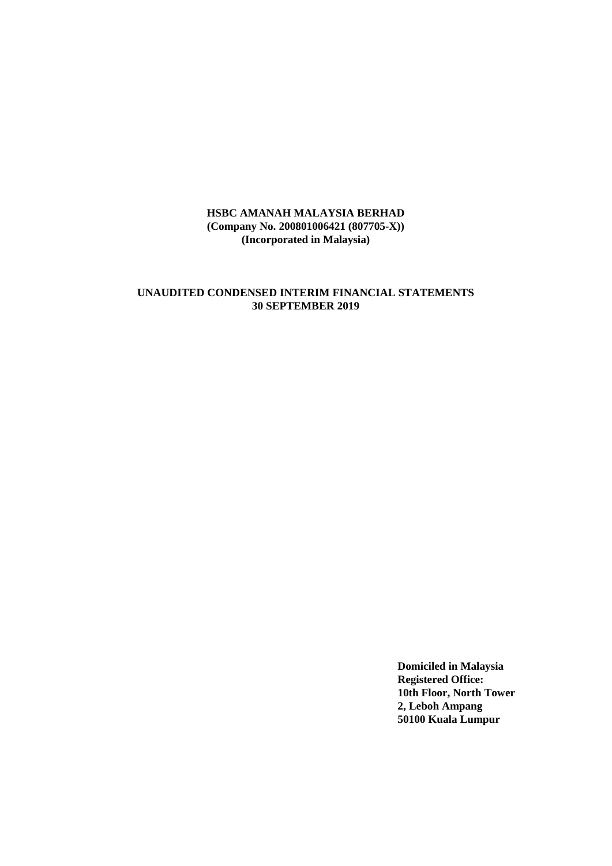# **UNAUDITED CONDENSED INTERIM FINANCIAL STATEMENTS 30 SEPTEMBER 2019**

**Domiciled in Malaysia Registered Office: 10th Floor, North Tower 2, Leboh Ampang 50100 Kuala Lumpur**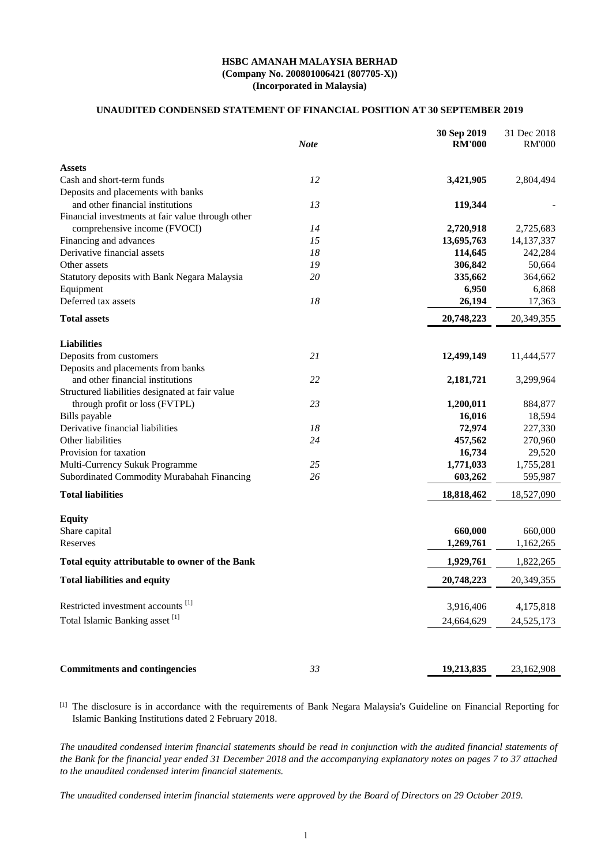### **UNAUDITED CONDENSED STATEMENT OF FINANCIAL POSITION AT 30 SEPTEMBER 2019**

|                                                   | <b>Note</b> | 30 Sep 2019<br><b>RM'000</b> | 31 Dec 2018<br><b>RM'000</b> |
|---------------------------------------------------|-------------|------------------------------|------------------------------|
| <b>Assets</b>                                     |             |                              |                              |
| Cash and short-term funds                         | 12          | 3,421,905                    | 2,804,494                    |
| Deposits and placements with banks                |             |                              |                              |
| and other financial institutions                  | 13          | 119,344                      |                              |
| Financial investments at fair value through other |             |                              |                              |
| comprehensive income (FVOCI)                      | 14          | 2,720,918                    | 2,725,683                    |
| Financing and advances                            | 15          | 13,695,763                   | 14, 137, 337                 |
| Derivative financial assets                       | 18          | 114,645                      | 242,284                      |
| Other assets                                      | 19          | 306,842                      | 50,664                       |
| Statutory deposits with Bank Negara Malaysia      | 20          | 335,662                      | 364,662                      |
| Equipment                                         |             | 6,950                        | 6,868                        |
| Deferred tax assets                               | 18          | 26,194                       | 17,363                       |
| <b>Total assets</b>                               |             | 20,748,223                   | 20,349,355                   |
| <b>Liabilities</b>                                |             |                              |                              |
| Deposits from customers                           | 21          | 12,499,149                   | 11,444,577                   |
| Deposits and placements from banks                |             |                              |                              |
| and other financial institutions                  | 22          | 2,181,721                    | 3,299,964                    |
| Structured liabilities designated at fair value   |             |                              |                              |
| through profit or loss (FVTPL)                    | 23          | 1,200,011                    | 884,877                      |
| Bills payable                                     |             | 16,016                       | 18,594                       |
| Derivative financial liabilities                  | 18          | 72,974                       | 227,330                      |
| Other liabilities                                 | 24          | 457,562                      | 270,960                      |
| Provision for taxation                            |             | 16,734                       | 29,520                       |
| Multi-Currency Sukuk Programme                    | 25          | 1,771,033                    | 1,755,281                    |
| Subordinated Commodity Murabahah Financing        | 26          | 603,262                      | 595,987                      |
| <b>Total liabilities</b>                          |             | 18,818,462                   | 18,527,090                   |
| <b>Equity</b>                                     |             |                              |                              |
| Share capital                                     |             | 660,000                      | 660,000                      |
| Reserves                                          |             | 1,269,761                    | 1,162,265                    |
| Total equity attributable to owner of the Bank    |             | 1,929,761                    | 1,822,265                    |
| <b>Total liabilities and equity</b>               |             | 20,748,223                   | 20,349,355                   |
| Restricted investment accounts <sup>[1]</sup>     |             | 3,916,406                    | 4,175,818                    |
| Total Islamic Banking asset <sup>[1]</sup>        |             | 24,664,629                   | 24,525,173                   |
|                                                   |             |                              |                              |
| <b>Commitments and contingencies</b>              | 33          | 19,213,835                   | 23,162,908                   |

[1] The disclosure is in accordance with the requirements of Bank Negara Malaysia's Guideline on Financial Reporting for Islamic Banking Institutions dated 2 February 2018.

*The unaudited condensed interim financial statements should be read in conjunction with the audited financial statements of the Bank for the financial year ended 31 December 2018 and the accompanying explanatory notes on pages 7 to 37 attached to the unaudited condensed interim financial statements.*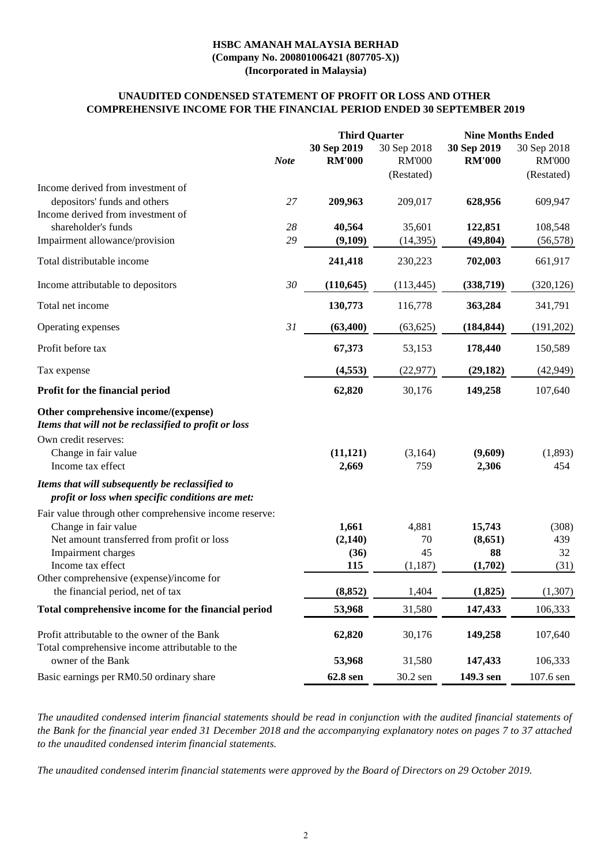# **UNAUDITED CONDENSED STATEMENT OF PROFIT OR LOSS AND OTHER COMPREHENSIVE INCOME FOR THE FINANCIAL PERIOD ENDED 30 SEPTEMBER 2019**

|                                                                                                     |             | <b>Third Quarter</b>         |                                            | <b>Nine Months Ended</b>     |                                            |
|-----------------------------------------------------------------------------------------------------|-------------|------------------------------|--------------------------------------------|------------------------------|--------------------------------------------|
|                                                                                                     | <b>Note</b> | 30 Sep 2019<br><b>RM'000</b> | 30 Sep 2018<br><b>RM'000</b><br>(Restated) | 30 Sep 2019<br><b>RM'000</b> | 30 Sep 2018<br><b>RM'000</b><br>(Restated) |
| Income derived from investment of                                                                   |             |                              |                                            |                              |                                            |
| depositors' funds and others                                                                        | 27          | 209,963                      | 209,017                                    | 628,956                      | 609,947                                    |
| Income derived from investment of                                                                   |             |                              |                                            |                              |                                            |
| shareholder's funds                                                                                 | 28          | 40,564                       | 35,601                                     | 122,851                      | 108,548                                    |
| Impairment allowance/provision                                                                      | 29          | (9,109)                      | (14, 395)                                  | (49, 804)                    | (56, 578)                                  |
| Total distributable income                                                                          |             | 241,418                      | 230,223                                    | 702,003                      | 661,917                                    |
| Income attributable to depositors                                                                   | 30          | (110, 645)                   | (113, 445)                                 | (338,719)                    | (320, 126)                                 |
| Total net income                                                                                    |             | 130,773                      | 116,778                                    | 363,284                      | 341,791                                    |
| Operating expenses                                                                                  | 31          | (63,400)                     | (63, 625)                                  | (184, 844)                   | (191,202)                                  |
| Profit before tax                                                                                   |             | 67,373                       | 53,153                                     | 178,440                      | 150,589                                    |
| Tax expense                                                                                         |             | (4, 553)                     | (22, 977)                                  | (29, 182)                    | (42, 949)                                  |
| Profit for the financial period                                                                     |             | 62,820                       | 30,176                                     | 149,258                      | 107,640                                    |
| Other comprehensive income/(expense)<br>Items that will not be reclassified to profit or loss       |             |                              |                                            |                              |                                            |
| Own credit reserves:                                                                                |             |                              |                                            |                              |                                            |
| Change in fair value                                                                                |             | (11, 121)                    | (3,164)                                    | (9,609)                      | (1,893)                                    |
| Income tax effect                                                                                   |             | 2,669                        | 759                                        | 2,306                        | 454                                        |
| Items that will subsequently be reclassified to<br>profit or loss when specific conditions are met: |             |                              |                                            |                              |                                            |
| Fair value through other comprehensive income reserve:                                              |             |                              |                                            |                              |                                            |
| Change in fair value                                                                                |             | 1,661                        | 4,881                                      | 15,743                       | (308)                                      |
| Net amount transferred from profit or loss                                                          |             | (2,140)                      | 70                                         | (8,651)                      | 439                                        |
| Impairment charges                                                                                  |             | (36)                         | 45                                         | 88                           | 32                                         |
| Income tax effect                                                                                   |             | 115                          | (1,187)                                    | (1,702)                      | (31)                                       |
| Other comprehensive (expense)/income for                                                            |             |                              |                                            |                              |                                            |
| the financial period, net of tax                                                                    |             | (8, 852)                     | 1,404                                      | (1,825)                      | (1,307)                                    |
| Total comprehensive income for the financial period                                                 |             | 53,968                       | 31,580                                     | 147,433                      | 106,333                                    |
| Profit attributable to the owner of the Bank                                                        |             | 62,820                       | 30,176                                     | 149,258                      | 107,640                                    |
| Total comprehensive income attributable to the<br>owner of the Bank                                 |             | 53,968                       | 31,580                                     | 147,433                      | 106,333                                    |
| Basic earnings per RM0.50 ordinary share                                                            |             | 62.8 sen                     | 30.2 sen                                   | 149.3 sen                    | 107.6 sen                                  |

*The unaudited condensed interim financial statements should be read in conjunction with the audited financial statements of the Bank for the financial year ended 31 December 2018 and the accompanying explanatory notes on pages 7 to 37 attached to the unaudited condensed interim financial statements.*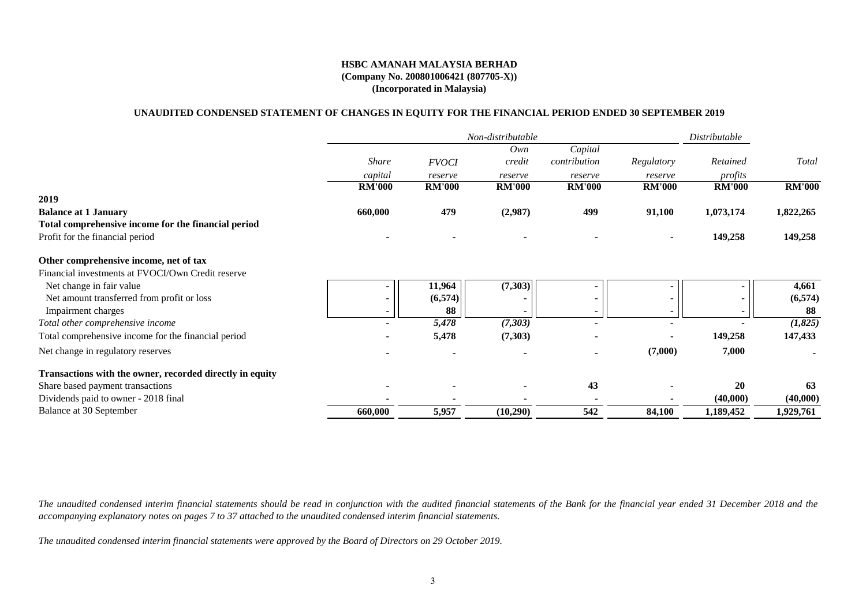#### **UNAUDITED CONDENSED STATEMENT OF CHANGES IN EQUITY FOR THE FINANCIAL PERIOD ENDED 30 SEPTEMBER 2019**

|                                                          |               |               | Non-distributable |               |                | Distributable |               |
|----------------------------------------------------------|---------------|---------------|-------------------|---------------|----------------|---------------|---------------|
|                                                          |               |               | Own               | Capital       |                |               |               |
|                                                          | <i>Share</i>  | <b>FVOCI</b>  | credit            | contribution  | Regulatory     | Retained      | Total         |
|                                                          | capital       | reserve       | reserve           | reserve       | reserve        | profits       |               |
|                                                          | <b>RM'000</b> | <b>RM'000</b> | <b>RM'000</b>     | <b>RM'000</b> | <b>RM'000</b>  | <b>RM'000</b> | <b>RM'000</b> |
| 2019                                                     |               |               |                   |               |                |               |               |
| <b>Balance at 1 January</b>                              | 660,000       | 479           | (2,987)           | 499           | 91,100         | 1,073,174     | 1,822,265     |
| Total comprehensive income for the financial period      |               |               |                   |               |                |               |               |
| Profit for the financial period                          |               |               |                   |               | $\blacksquare$ | 149,258       | 149,258       |
| Other comprehensive income, net of tax                   |               |               |                   |               |                |               |               |
| Financial investments at FVOCI/Own Credit reserve        |               |               |                   |               |                |               |               |
| Net change in fair value                                 |               | 11,964        | (7,303)           | $\sim$        |                |               | 4,661         |
| Net amount transferred from profit or loss               |               | (6,574)       |                   | ۰.            | $\blacksquare$ |               | (6,574)       |
| Impairment charges                                       |               | 88            |                   |               |                |               | -88           |
| Total other comprehensive income                         |               | 5,478         | (7,303)           |               |                |               | (1,825)       |
| Total comprehensive income for the financial period      |               | 5,478         | (7,303)           |               |                | 149,258       | 147,433       |
| Net change in regulatory reserves                        |               |               |                   |               | (7,000)        | 7,000         |               |
| Transactions with the owner, recorded directly in equity |               |               |                   |               |                |               |               |
| Share based payment transactions                         |               |               |                   | 43            |                | 20            | 63            |
| Dividends paid to owner - 2018 final                     |               |               |                   |               |                | (40,000)      | (40,000)      |
| Balance at 30 September                                  | 660,000       | 5,957         | (10,290)          | 542           | 84,100         | 1,189,452     | 1,929,761     |

*The unaudited condensed interim financial statements should be read in conjunction with the audited financial statements of the Bank for the financial year ended 31 December 2018 and the accompanying explanatory notes on pages 7 to 37 attached to the unaudited condensed interim financial statements.*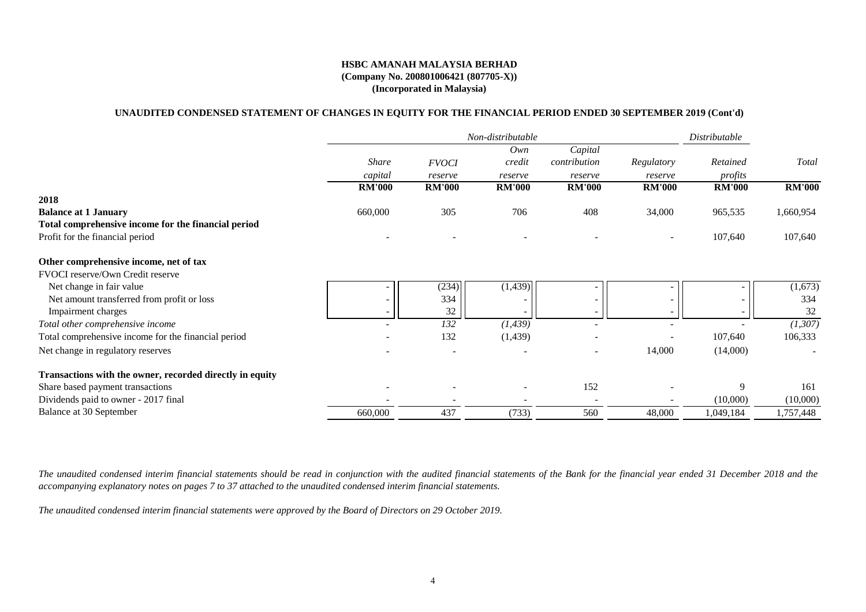#### **(Company No. 200801006421 (807705-X)) (Incorporated in Malaysia) HSBC AMANAH MALAYSIA BERHAD**

### **UNAUDITED CONDENSED STATEMENT OF CHANGES IN EQUITY FOR THE FINANCIAL PERIOD ENDED 30 SEPTEMBER 2019 (Cont'd)**

|                                                          |               |               | Non-distributable |               |               | Distributable |               |
|----------------------------------------------------------|---------------|---------------|-------------------|---------------|---------------|---------------|---------------|
|                                                          |               |               | Own               | Capital       |               |               |               |
|                                                          | <b>Share</b>  | <b>FVOCI</b>  | credit            | contribution  | Regulatory    | Retained      | Total         |
|                                                          | capital       | reserve       | reserve           | reserve       | reserve       | profits       |               |
|                                                          | <b>RM'000</b> | <b>RM'000</b> | <b>RM'000</b>     | <b>RM'000</b> | <b>RM'000</b> | <b>RM'000</b> | <b>RM'000</b> |
| 2018                                                     |               |               |                   |               |               |               |               |
| <b>Balance at 1 January</b>                              | 660,000       | 305           | 706               | 408           | 34,000        | 965,535       | 1,660,954     |
| Total comprehensive income for the financial period      |               |               |                   |               |               |               |               |
| Profit for the financial period                          |               |               |                   |               |               | 107,640       | 107,640       |
| Other comprehensive income, net of tax                   |               |               |                   |               |               |               |               |
| FVOCI reserve/Own Credit reserve                         |               |               |                   |               |               |               |               |
| Net change in fair value                                 |               | (234)         | (1,439)           |               |               |               | (1,673)       |
| Net amount transferred from profit or loss               |               | 334           |                   |               |               |               | 334           |
| Impairment charges                                       | ۰.            | 32            |                   |               |               |               | 32            |
| Total other comprehensive income                         |               | 132           | (1, 439)          |               |               |               | (1,307)       |
| Total comprehensive income for the financial period      |               | 132           | (1,439)           |               |               | 107,640       | 106,333       |
| Net change in regulatory reserves                        |               |               |                   |               | 14,000        | (14,000)      |               |
| Transactions with the owner, recorded directly in equity |               |               |                   |               |               |               |               |
| Share based payment transactions                         |               |               |                   | 152           |               | 9             | 161           |
| Dividends paid to owner - 2017 final                     |               |               |                   |               |               | (10,000)      | (10,000)      |
| Balance at 30 September                                  | 660,000       | 437           | (733)             | 560           | 48,000        | 1,049,184     | 1,757,448     |

*The unaudited condensed interim financial statements should be read in conjunction with the audited financial statements of the Bank for the financial year ended 31 December 2018 and the accompanying explanatory notes on pages 7 to 37 attached to the unaudited condensed interim financial statements.*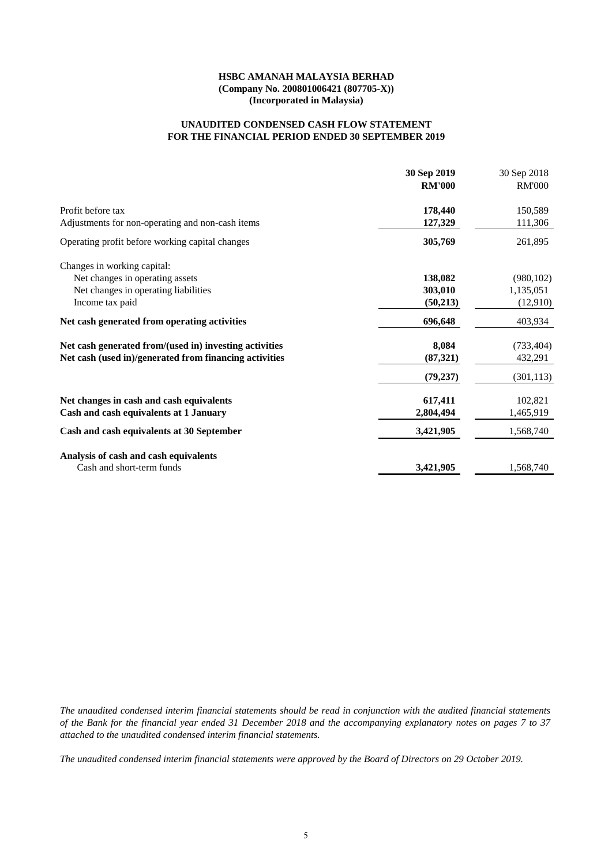#### **FOR THE FINANCIAL PERIOD ENDED 30 SEPTEMBER 2019 UNAUDITED CONDENSED CASH FLOW STATEMENT**

|                                                        | 30 Sep 2019<br><b>RM'000</b> | 30 Sep 2018<br><b>RM'000</b> |
|--------------------------------------------------------|------------------------------|------------------------------|
|                                                        |                              |                              |
| Profit before tax                                      | 178,440                      | 150,589                      |
| Adjustments for non-operating and non-cash items       | 127,329                      | 111,306                      |
| Operating profit before working capital changes        | 305,769                      | 261,895                      |
| Changes in working capital:                            |                              |                              |
| Net changes in operating assets                        | 138,082                      | (980, 102)                   |
| Net changes in operating liabilities                   | 303,010                      | 1,135,051                    |
| Income tax paid                                        | (50,213)                     | (12,910)                     |
| Net cash generated from operating activities           | 696,648                      | 403,934                      |
| Net cash generated from/(used in) investing activities | 8,084                        | (733, 404)                   |
| Net cash (used in)/generated from financing activities | (87, 321)                    | 432,291                      |
|                                                        | (79, 237)                    | (301, 113)                   |
| Net changes in cash and cash equivalents               | 617,411                      | 102,821                      |
| Cash and cash equivalents at 1 January                 | 2,804,494                    | 1,465,919                    |
| Cash and cash equivalents at 30 September              | 3,421,905                    | 1,568,740                    |
| Analysis of cash and cash equivalents                  |                              |                              |
| Cash and short-term funds                              | 3,421,905                    | 1,568,740                    |

*The unaudited condensed interim financial statements should be read in conjunction with the audited financial statements of the Bank for the financial year ended 31 December 2018 and the accompanying explanatory notes on pages 7 to 37 attached to the unaudited condensed interim financial statements.*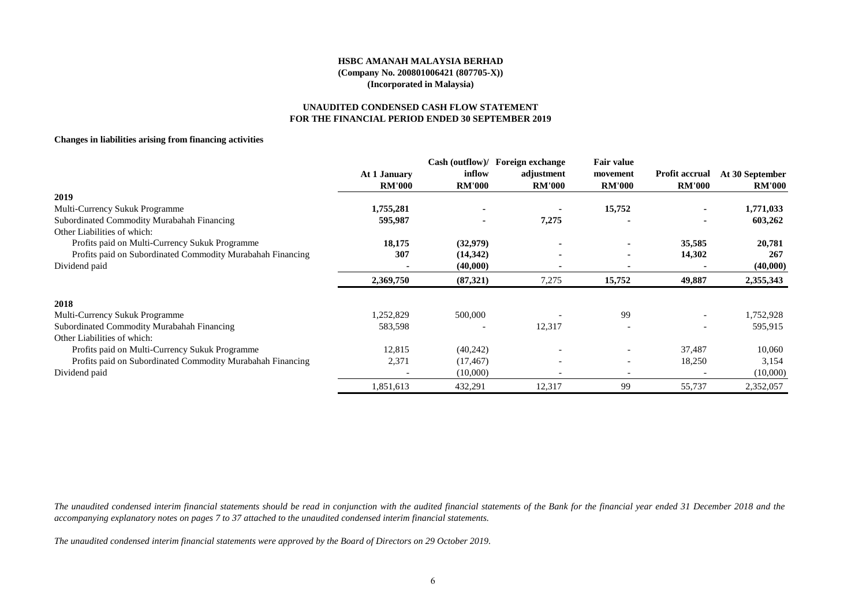#### **UNAUDITED CONDENSED CASH FLOW STATEMENT FOR THE FINANCIAL PERIOD ENDED 30 SEPTEMBER 2019**

#### **Changes in liabilities arising from financing activities**

|                                                            |               |               | Cash (outflow)/ Foreign exchange | Fair value               |                          |                 |
|------------------------------------------------------------|---------------|---------------|----------------------------------|--------------------------|--------------------------|-----------------|
|                                                            | At 1 January  | inflow        | adjustment                       | movement                 | <b>Profit accrual</b>    | At 30 September |
|                                                            | <b>RM'000</b> | <b>RM'000</b> | <b>RM'000</b>                    | <b>RM'000</b>            | <b>RM'000</b>            | <b>RM'000</b>   |
| 2019                                                       |               |               |                                  |                          |                          |                 |
| Multi-Currency Sukuk Programme                             | 1,755,281     |               |                                  | 15,752                   |                          | 1,771,033       |
| Subordinated Commodity Murabahah Financing                 | 595,987       |               | 7,275                            |                          |                          | 603,262         |
| Other Liabilities of which:                                |               |               |                                  |                          |                          |                 |
| Profits paid on Multi-Currency Sukuk Programme             | 18,175        | (32,979)      |                                  |                          | 35,585                   | 20,781          |
| Profits paid on Subordinated Commodity Murabahah Financing | 307           | (14, 342)     |                                  |                          | 14,302                   | 267             |
| Dividend paid                                              |               | (40,000)      |                                  |                          |                          | (40,000)        |
|                                                            | 2,369,750     | (87,321)      | 7,275                            | 15,752                   | 49,887                   | 2,355,343       |
| 2018                                                       |               |               |                                  |                          |                          |                 |
| Multi-Currency Sukuk Programme                             | ,252,829      | 500,000       |                                  | 99                       |                          | 1,752,928       |
| Subordinated Commodity Murabahah Financing                 | 583,598       |               | 12,317                           |                          | $\overline{\phantom{a}}$ | 595,915         |
| Other Liabilities of which:                                |               |               |                                  |                          |                          |                 |
| Profits paid on Multi-Currency Sukuk Programme             | 12,815        | (40,242)      |                                  |                          | 37,487                   | 10,060          |
| Profits paid on Subordinated Commodity Murabahah Financing | 2,371         | (17, 467)     | $\overline{\phantom{0}}$         | $\overline{\phantom{0}}$ | 18,250                   | 3,154           |
| Dividend paid                                              |               | (10,000)      |                                  |                          |                          | (10,000)        |
|                                                            | 1,851,613     | 432,291       | 12,317                           | 99                       | 55,737                   | 2,352,057       |

*The unaudited condensed interim financial statements should be read in conjunction with the audited financial statements of the Bank for the financial year ended 31 December 2018 and the accompanying explanatory notes on pages 7 to 37 attached to the unaudited condensed interim financial statements.*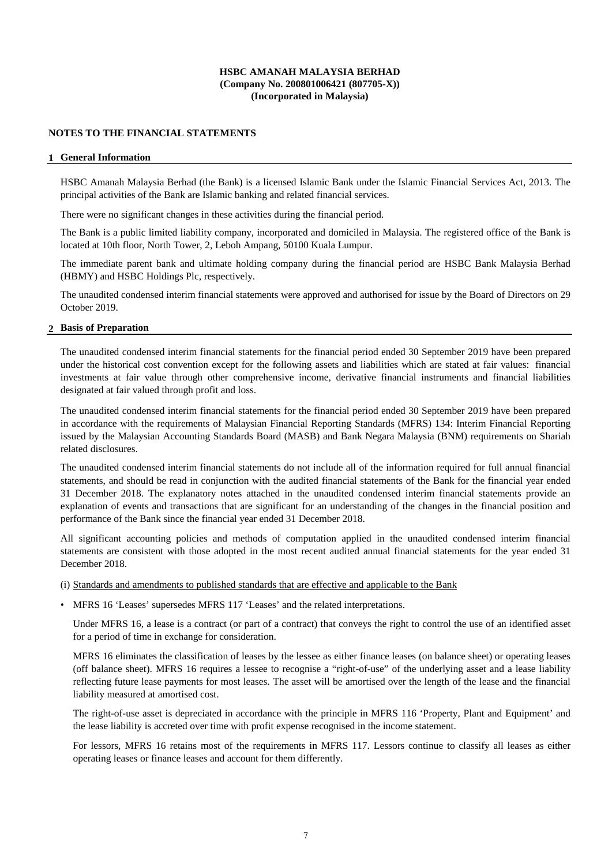#### **NOTES TO THE FINANCIAL STATEMENTS**

#### **1 General Information**

HSBC Amanah Malaysia Berhad (the Bank) is a licensed Islamic Bank under the Islamic Financial Services Act, 2013. The principal activities of the Bank are Islamic banking and related financial services.

There were no significant changes in these activities during the financial period.

The Bank is a public limited liability company, incorporated and domiciled in Malaysia. The registered office of the Bank is located at 10th floor, North Tower, 2, Leboh Ampang, 50100 Kuala Lumpur.

The immediate parent bank and ultimate holding company during the financial period are HSBC Bank Malaysia Berhad (HBMY) and HSBC Holdings Plc, respectively.

The unaudited condensed interim financial statements were approved and authorised for issue by the Board of Directors on 29 October 2019.

#### **2 Basis of Preparation**

The unaudited condensed interim financial statements for the financial period ended 30 September 2019 have been prepared under the historical cost convention except for the following assets and liabilities which are stated at fair values: financial investments at fair value through other comprehensive income, derivative financial instruments and financial liabilities designated at fair valued through profit and loss.

The unaudited condensed interim financial statements for the financial period ended 30 September 2019 have been prepared in accordance with the requirements of Malaysian Financial Reporting Standards (MFRS) 134: Interim Financial Reporting issued by the Malaysian Accounting Standards Board (MASB) and Bank Negara Malaysia (BNM) requirements on Shariah related disclosures.

The unaudited condensed interim financial statements do not include all of the information required for full annual financial statements, and should be read in conjunction with the audited financial statements of the Bank for the financial year ended 31 December 2018. The explanatory notes attached in the unaudited condensed interim financial statements provide an explanation of events and transactions that are significant for an understanding of the changes in the financial position and performance of the Bank since the financial year ended 31 December 2018.

All significant accounting policies and methods of computation applied in the unaudited condensed interim financial statements are consistent with those adopted in the most recent audited annual financial statements for the year ended 31 December 2018.

(i) Standards and amendments to published standards that are effective and applicable to the Bank

• MFRS 16 'Leases' supersedes MFRS 117 'Leases' and the related interpretations.

Under MFRS 16, a lease is a contract (or part of a contract) that conveys the right to control the use of an identified asset for a period of time in exchange for consideration.

MFRS 16 eliminates the classification of leases by the lessee as either finance leases (on balance sheet) or operating leases (off balance sheet). MFRS 16 requires a lessee to recognise a "right-of-use" of the underlying asset and a lease liability reflecting future lease payments for most leases. The asset will be amortised over the length of the lease and the financial liability measured at amortised cost.

The right-of-use asset is depreciated in accordance with the principle in MFRS 116 'Property, Plant and Equipment' and the lease liability is accreted over time with profit expense recognised in the income statement.

For lessors, MFRS 16 retains most of the requirements in MFRS 117. Lessors continue to classify all leases as either operating leases or finance leases and account for them differently.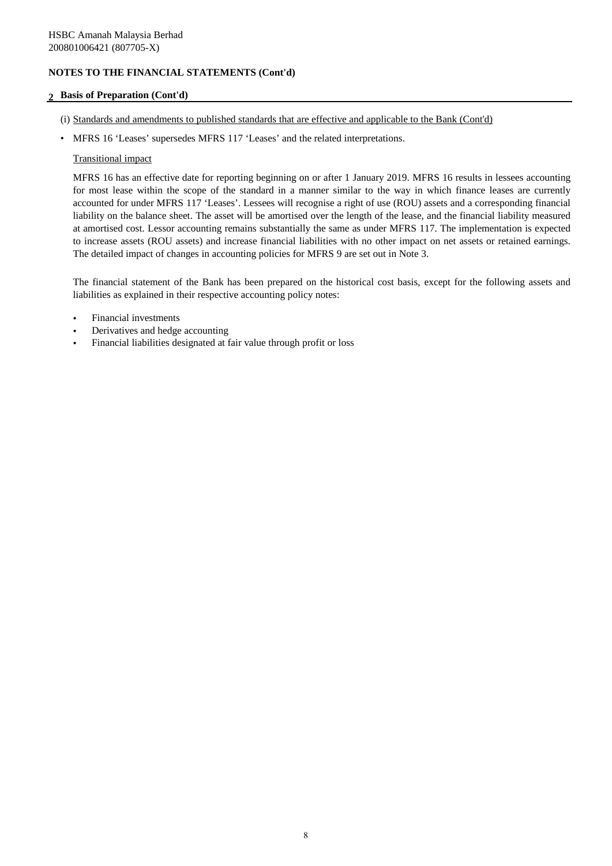## **2 Basis of Preparation (Cont'd)**

- (i) Standards and amendments to published standards that are effective and applicable to the Bank (Cont'd)
- MFRS 16 'Leases' supersedes MFRS 117 'Leases' and the related interpretations.

#### Transitional impact

MFRS 16 has an effective date for reporting beginning on or after 1 January 2019. MFRS 16 results in lessees accounting for most lease within the scope of the standard in a manner similar to the way in which finance leases are currently accounted for under MFRS 117 'Leases'. Lessees will recognise a right of use (ROU) assets and a corresponding financial liability on the balance sheet. The asset will be amortised over the length of the lease, and the financial liability measured at amortised cost. Lessor accounting remains substantially the same as under MFRS 117. The implementation is expected to increase assets (ROU assets) and increase financial liabilities with no other impact on net assets or retained earnings. The detailed impact of changes in accounting policies for MFRS 9 are set out in Note 3.

The financial statement of the Bank has been prepared on the historical cost basis, except for the following assets and liabilities as explained in their respective accounting policy notes:

- Financial investments
- Derivatives and hedge accounting
- Financial liabilities designated at fair value through profit or loss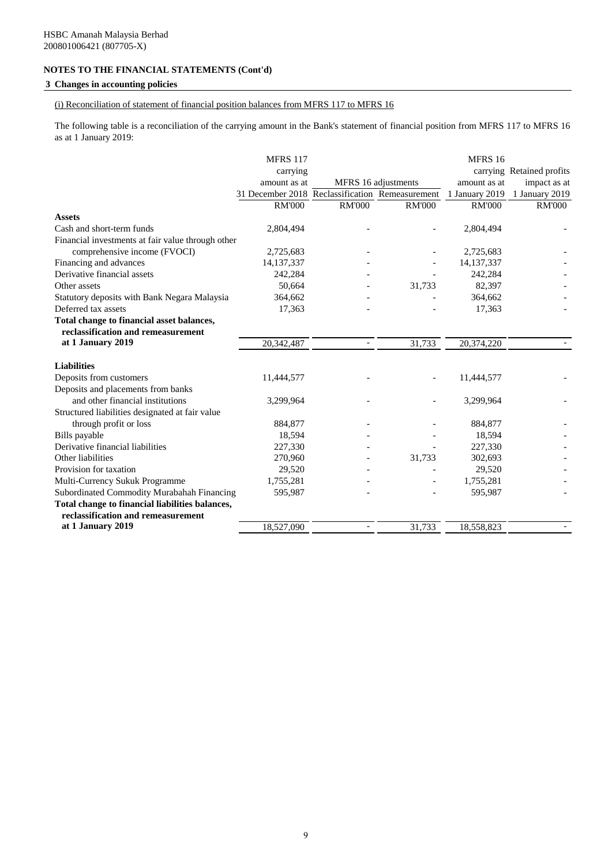## **3 Changes in accounting policies**

(i) Reconciliation of statement of financial position balances from MFRS 117 to MFRS 16

The following table is a reconciliation of the carrying amount in the Bank's statement of financial position from MFRS 117 to MFRS 16 as at 1 January 2019:

|                                                   | <b>MFRS 117</b>                                 |                |                     | MFRS 16        |                           |
|---------------------------------------------------|-------------------------------------------------|----------------|---------------------|----------------|---------------------------|
|                                                   | carrying                                        |                |                     |                | carrying Retained profits |
|                                                   | amount as at                                    |                | MFRS 16 adjustments | amount as at   | impact as at              |
|                                                   | 31 December 2018 Reclassification Remeasurement |                |                     | 1 January 2019 | 1 January 2019            |
|                                                   | <b>RM'000</b>                                   | <b>RM'000</b>  | <b>RM'000</b>       | <b>RM'000</b>  | <b>RM'000</b>             |
| <b>Assets</b>                                     |                                                 |                |                     |                |                           |
| Cash and short-term funds                         | 2,804,494                                       |                |                     | 2,804,494      |                           |
| Financial investments at fair value through other |                                                 |                |                     |                |                           |
| comprehensive income (FVOCI)                      | 2,725,683                                       |                |                     | 2,725,683      |                           |
| Financing and advances                            | 14, 137, 337                                    |                |                     | 14, 137, 337   |                           |
| Derivative financial assets                       | 242,284                                         |                |                     | 242,284        |                           |
| Other assets                                      | 50.664                                          |                | 31,733              | 82,397         |                           |
| Statutory deposits with Bank Negara Malaysia      | 364,662                                         |                |                     | 364,662        |                           |
| Deferred tax assets                               | 17,363                                          |                |                     | 17,363         |                           |
| Total change to financial asset balances,         |                                                 |                |                     |                |                           |
| reclassification and remeasurement                |                                                 |                |                     |                |                           |
| at 1 January 2019                                 | 20,342,487                                      | $\blacksquare$ | 31,733              | 20,374,220     |                           |
|                                                   |                                                 |                |                     |                |                           |
| <b>Liabilities</b>                                |                                                 |                |                     |                |                           |
| Deposits from customers                           | 11,444,577                                      |                |                     | 11,444,577     |                           |
| Deposits and placements from banks                |                                                 |                |                     |                |                           |
| and other financial institutions                  | 3,299,964                                       |                |                     | 3,299,964      |                           |
| Structured liabilities designated at fair value   |                                                 |                |                     |                |                           |
| through profit or loss                            | 884,877                                         |                |                     | 884,877        |                           |
| Bills payable                                     | 18,594                                          |                |                     | 18,594         |                           |
| Derivative financial liabilities                  | 227,330                                         |                |                     | 227,330        |                           |
| Other liabilities                                 | 270,960                                         |                | 31,733              | 302,693        |                           |
| Provision for taxation                            | 29,520                                          |                |                     | 29,520         |                           |
| Multi-Currency Sukuk Programme                    | 1,755,281                                       |                |                     | 1,755,281      |                           |
| Subordinated Commodity Murabahah Financing        | 595,987                                         |                |                     | 595,987        |                           |
| Total change to financial liabilities balances,   |                                                 |                |                     |                |                           |
| reclassification and remeasurement                |                                                 |                |                     |                |                           |
| at 1 January 2019                                 | 18,527,090                                      | $-$            | 31,733              | 18,558,823     |                           |
|                                                   |                                                 |                |                     |                |                           |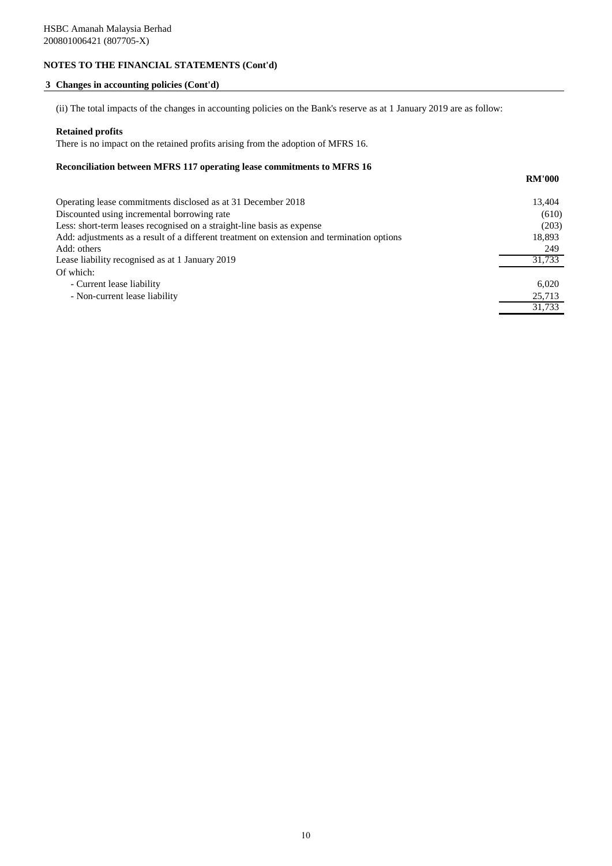#### **3 Changes in accounting policies (Cont'd)**

(ii) The total impacts of the changes in accounting policies on the Bank's reserve as at 1 January 2019 are as follow:

#### **Retained profits**

There is no impact on the retained profits arising from the adoption of MFRS 16.

#### **Reconciliation between MFRS 117 operating lease commitments to MFRS 16**

| Operating lease commitments disclosed as at 31 December 2018                               | 13,404 |
|--------------------------------------------------------------------------------------------|--------|
| Discounted using incremental borrowing rate                                                | (610)  |
| Less: short-term leases recognised on a straight-line basis as expense                     | (203)  |
| Add: adjustments as a result of a different treatment on extension and termination options | 18,893 |
| Add: others                                                                                | 249    |
| Lease liability recognised as at 1 January 2019                                            | 31.733 |
| Of which:                                                                                  |        |
| - Current lease liability                                                                  | 6.020  |
| - Non-current lease liability                                                              | 25,713 |
|                                                                                            | 31.733 |

**RM'000**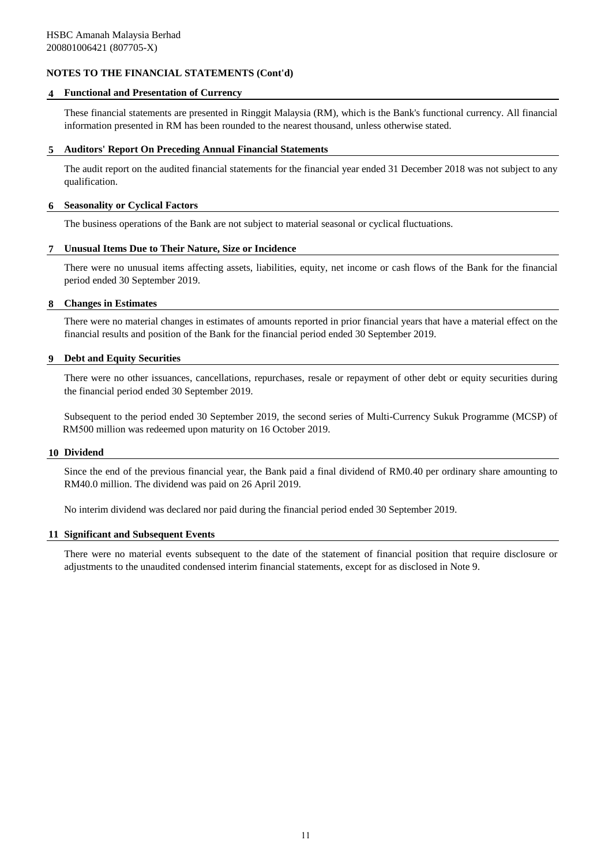#### **4 Functional and Presentation of Currency**

These financial statements are presented in Ringgit Malaysia (RM), which is the Bank's functional currency. All financial information presented in RM has been rounded to the nearest thousand, unless otherwise stated.

#### **5 Auditors' Report On Preceding Annual Financial Statements**

The audit report on the audited financial statements for the financial year ended 31 December 2018 was not subject to any qualification.

#### **6 Seasonality or Cyclical Factors**

The business operations of the Bank are not subject to material seasonal or cyclical fluctuations.

#### **7 Unusual Items Due to Their Nature, Size or Incidence**

There were no unusual items affecting assets, liabilities, equity, net income or cash flows of the Bank for the financial period ended 30 September 2019.

#### **8 Changes in Estimates**

There were no material changes in estimates of amounts reported in prior financial years that have a material effect on the financial results and position of the Bank for the financial period ended 30 September 2019.

#### **9 Debt and Equity Securities**

There were no other issuances, cancellations, repurchases, resale or repayment of other debt or equity securities during the financial period ended 30 September 2019.

Subsequent to the period ended 30 September 2019, the second series of Multi-Currency Sukuk Programme (MCSP) of RM500 million was redeemed upon maturity on 16 October 2019.

#### **10 Dividend**

Since the end of the previous financial year, the Bank paid a final dividend of RM0.40 per ordinary share amounting to RM40.0 million. The dividend was paid on 26 April 2019.

No interim dividend was declared nor paid during the financial period ended 30 September 2019.

#### **11 Significant and Subsequent Events**

There were no material events subsequent to the date of the statement of financial position that require disclosure or adjustments to the unaudited condensed interim financial statements, except for as disclosed in Note 9.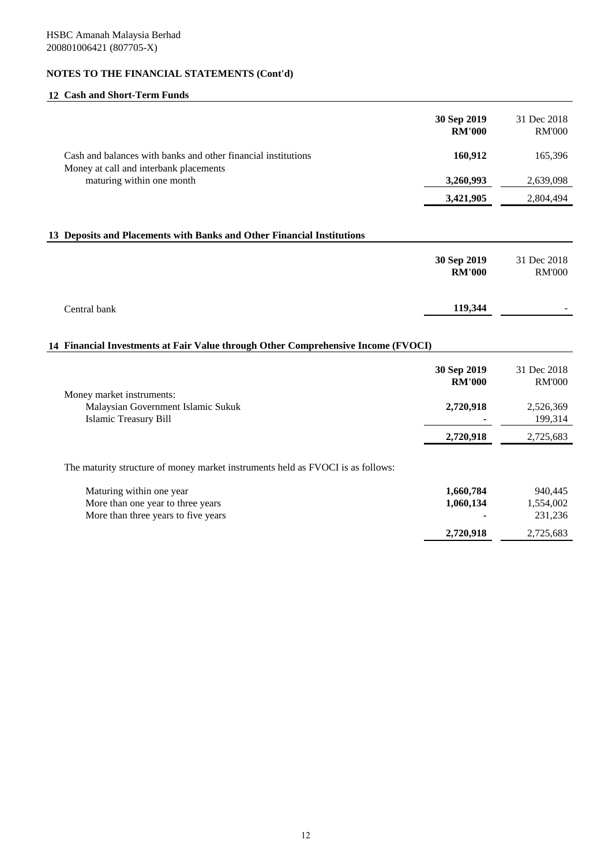# **12 Cash and Short-Term Funds**

|                                                                                                         | 30 Sep 2019<br><b>RM'000</b> | 31 Dec 2018<br><b>RM'000</b> |
|---------------------------------------------------------------------------------------------------------|------------------------------|------------------------------|
| Cash and balances with banks and other financial institutions<br>Money at call and interbank placements | 160,912                      | 165,396                      |
| maturing within one month                                                                               | 3,260,993                    | 2,639,098                    |
|                                                                                                         | 3,421,905                    | 2,804,494                    |

## **13 Deposits and Placements with Banks and Other Financial Institutions**

|              | 30 Sep 2019<br><b>RM'000</b> | 31 Dec 2018<br><b>RM'000</b> |
|--------------|------------------------------|------------------------------|
| Central bank | 119,344                      | $\overline{\phantom{0}}$     |

# **14 Financial Investments at Fair Value through Other Comprehensive Income (FVOCI)**

|                                                                                 | 30 Sep 2019<br><b>RM'000</b> | 31 Dec 2018<br><b>RM'000</b> |
|---------------------------------------------------------------------------------|------------------------------|------------------------------|
| Money market instruments:                                                       |                              |                              |
| Malaysian Government Islamic Sukuk                                              | 2,720,918                    | 2,526,369                    |
| <b>Islamic Treasury Bill</b>                                                    |                              | 199,314                      |
|                                                                                 | 2,720,918                    | 2,725,683                    |
| The maturity structure of money market instruments held as FVOCI is as follows: |                              |                              |

| Maturing within one year            | 1.660.784      | 940,445   |
|-------------------------------------|----------------|-----------|
| More than one year to three years   | 1.060.134      | 1.554.002 |
| More than three years to five years | $\blacksquare$ | 231.236   |
|                                     | 2.720.918      | 2,725,683 |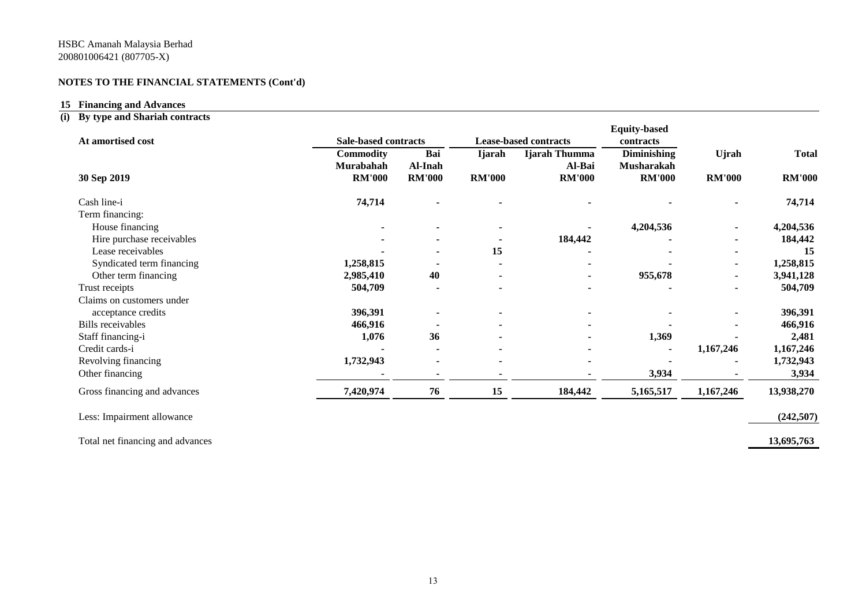## **15 Financing and Advances**

# **(i) By type and Shariah contracts**

| At amortised cost            | <b>Sale-based contracts</b> |                          |               | <b>Lease-based contracts</b> | <b>Equity-based</b><br>contracts |               |               |
|------------------------------|-----------------------------|--------------------------|---------------|------------------------------|----------------------------------|---------------|---------------|
|                              | <b>Commodity</b>            | Bai                      | <b>Ijarah</b> | Ijarah Thumma                | <b>Diminishing</b>               | Ujrah         | <b>Total</b>  |
| 30 Sep 2019                  | Murabahah<br><b>RM'000</b>  | Al-Inah<br><b>RM'000</b> | <b>RM'000</b> | Al-Bai<br><b>RM'000</b>      | Musharakah<br><b>RM'000</b>      | <b>RM'000</b> | <b>RM'000</b> |
| Cash line-i                  | 74,714                      |                          |               |                              |                                  |               | 74,714        |
| Term financing:              |                             |                          |               |                              |                                  |               |               |
| House financing              |                             |                          |               |                              | 4,204,536                        |               | 4,204,536     |
| Hire purchase receivables    |                             |                          |               | 184,442                      |                                  |               | 184,442       |
| Lease receivables            |                             |                          | 15            |                              |                                  |               | 15            |
| Syndicated term financing    | 1,258,815                   |                          |               |                              |                                  |               | 1,258,815     |
| Other term financing         | 2,985,410                   | 40                       |               |                              | 955,678                          |               | 3,941,128     |
| Trust receipts               | 504,709                     |                          |               |                              |                                  |               | 504,709       |
| Claims on customers under    |                             |                          |               |                              |                                  |               |               |
| acceptance credits           | 396,391                     |                          |               |                              |                                  |               | 396,391       |
| <b>Bills</b> receivables     | 466,916                     |                          |               |                              |                                  |               | 466,916       |
| Staff financing-i            | 1,076                       | 36                       |               |                              | 1,369                            |               | 2,481         |
| Credit cards-i               |                             |                          |               |                              |                                  | 1,167,246     | 1,167,246     |
| Revolving financing          | 1,732,943                   |                          |               |                              |                                  |               | 1,732,943     |
| Other financing              |                             |                          |               |                              | 3,934                            |               | 3,934         |
| Gross financing and advances | 7,420,974                   | 76                       | 15            | 184,442                      | 5,165,517                        | 1,167,246     | 13,938,270    |
| Less: Impairment allowance   |                             |                          |               |                              |                                  |               | (242, 507)    |

Total net financing and advances **13,695,763**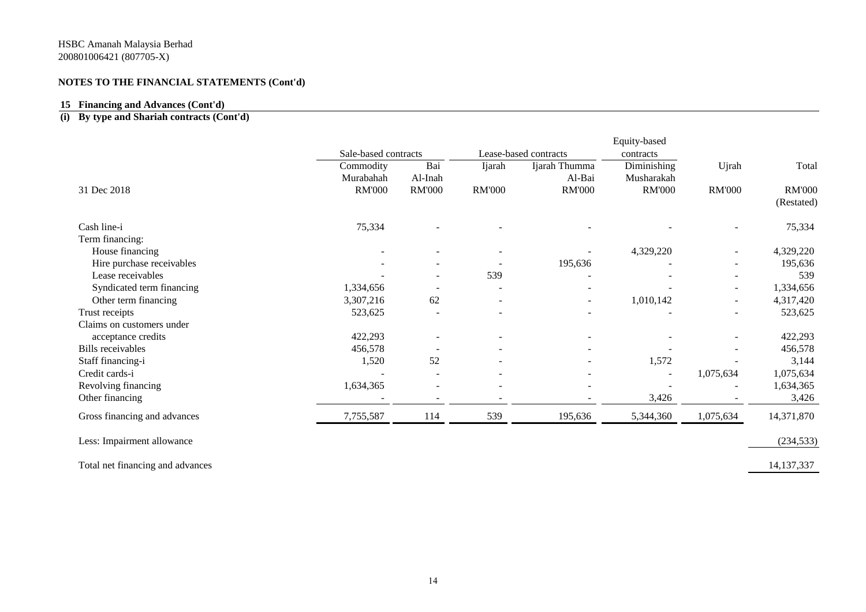## **15 Financing and Advances (Cont'd)**

# **(i) By type and Shariah contracts (Cont'd)**

| Ijarah<br><b>RM'000</b><br>539<br>$\overline{\phantom{a}}$<br>$\overline{\phantom{a}}$ | Lease-based contracts<br>Ijarah Thumma<br>Al-Bai<br><b>RM'000</b><br>195,636 | contracts<br>Diminishing<br>Musharakah<br><b>RM'000</b><br>4,329,220<br>1,010,142 | Ujrah<br><b>RM'000</b><br>$\overline{\phantom{a}}$ | Total<br><b>RM'000</b><br>(Restated)<br>75,334<br>4,329,220<br>195,636<br>539<br>1,334,656<br>4,317,420 |
|----------------------------------------------------------------------------------------|------------------------------------------------------------------------------|-----------------------------------------------------------------------------------|----------------------------------------------------|---------------------------------------------------------------------------------------------------------|
|                                                                                        |                                                                              |                                                                                   |                                                    |                                                                                                         |
|                                                                                        |                                                                              |                                                                                   |                                                    |                                                                                                         |
|                                                                                        |                                                                              |                                                                                   |                                                    |                                                                                                         |
|                                                                                        |                                                                              |                                                                                   |                                                    |                                                                                                         |
|                                                                                        |                                                                              |                                                                                   |                                                    |                                                                                                         |
|                                                                                        |                                                                              |                                                                                   |                                                    |                                                                                                         |
|                                                                                        |                                                                              |                                                                                   |                                                    |                                                                                                         |
|                                                                                        |                                                                              |                                                                                   |                                                    |                                                                                                         |
|                                                                                        |                                                                              |                                                                                   |                                                    |                                                                                                         |
|                                                                                        |                                                                              |                                                                                   |                                                    |                                                                                                         |
|                                                                                        |                                                                              |                                                                                   |                                                    |                                                                                                         |
|                                                                                        |                                                                              |                                                                                   |                                                    |                                                                                                         |
|                                                                                        |                                                                              |                                                                                   |                                                    | 523,625                                                                                                 |
|                                                                                        |                                                                              |                                                                                   |                                                    |                                                                                                         |
|                                                                                        |                                                                              |                                                                                   |                                                    | 422,293                                                                                                 |
|                                                                                        |                                                                              |                                                                                   |                                                    | 456,578                                                                                                 |
|                                                                                        |                                                                              | 1,572                                                                             |                                                    | 3,144                                                                                                   |
|                                                                                        |                                                                              | $\overline{\phantom{a}}$                                                          | 1,075,634                                          | 1,075,634                                                                                               |
|                                                                                        |                                                                              |                                                                                   |                                                    | 1,634,365                                                                                               |
|                                                                                        |                                                                              | 3,426                                                                             |                                                    | 3,426                                                                                                   |
| 539                                                                                    | 195,636                                                                      | 5,344,360                                                                         | 1,075,634                                          | 14,371,870                                                                                              |
|                                                                                        |                                                                              |                                                                                   |                                                    | (234, 533)                                                                                              |
|                                                                                        |                                                                              |                                                                                   |                                                    |                                                                                                         |

Total net financing and advances 14,137,337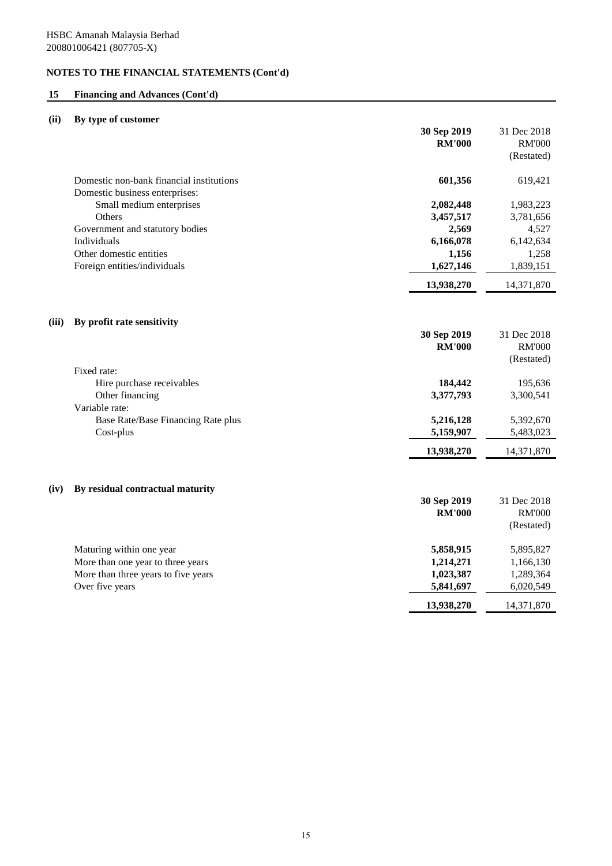## **15 Financing and Advances (Cont'd)**

## **(ii) By type of customer**

|       |                                                                                                      | 30 Sep 2019<br><b>RM'000</b>        | 31 Dec 2018<br><b>RM'000</b><br>(Restated) |
|-------|------------------------------------------------------------------------------------------------------|-------------------------------------|--------------------------------------------|
|       | Domestic non-bank financial institutions<br>Domestic business enterprises:                           | 601,356                             | 619,421                                    |
|       | Small medium enterprises                                                                             | 2,082,448                           | 1,983,223                                  |
|       | Others                                                                                               | 3,457,517                           | 3,781,656                                  |
|       | Government and statutory bodies                                                                      | 2,569                               | 4,527                                      |
|       | Individuals                                                                                          | 6,166,078                           | 6,142,634                                  |
|       | Other domestic entities                                                                              | 1,156                               | 1,258                                      |
|       | Foreign entities/individuals                                                                         | 1,627,146                           | 1,839,151                                  |
|       |                                                                                                      | 13,938,270                          | 14,371,870                                 |
| (iii) | By profit rate sensitivity                                                                           | 30 Sep 2019<br><b>RM'000</b>        | 31 Dec 2018<br><b>RM'000</b><br>(Restated) |
|       | Fixed rate:                                                                                          |                                     |                                            |
|       | Hire purchase receivables                                                                            | 184,442                             | 195,636                                    |
|       | Other financing                                                                                      | 3,377,793                           | 3,300,541                                  |
|       | Variable rate:                                                                                       |                                     |                                            |
|       | Base Rate/Base Financing Rate plus                                                                   | 5,216,128                           | 5,392,670                                  |
|       | Cost-plus                                                                                            | 5,159,907                           | 5,483,023                                  |
|       |                                                                                                      | 13,938,270                          | 14,371,870                                 |
| (iv)  | By residual contractual maturity                                                                     |                                     |                                            |
|       |                                                                                                      | 30 Sep 2019<br><b>RM'000</b>        | 31 Dec 2018<br><b>RM'000</b><br>(Restated) |
|       | Maturing within one year<br>More than one year to three years<br>More than three years to five years | 5,858,915<br>1,214,271<br>1,023,387 | 5,895,827<br>1,166,130<br>1,289,364        |
|       | Over five years                                                                                      | 5,841,697                           | 6,020,549                                  |

**13,938,270** 14,371,870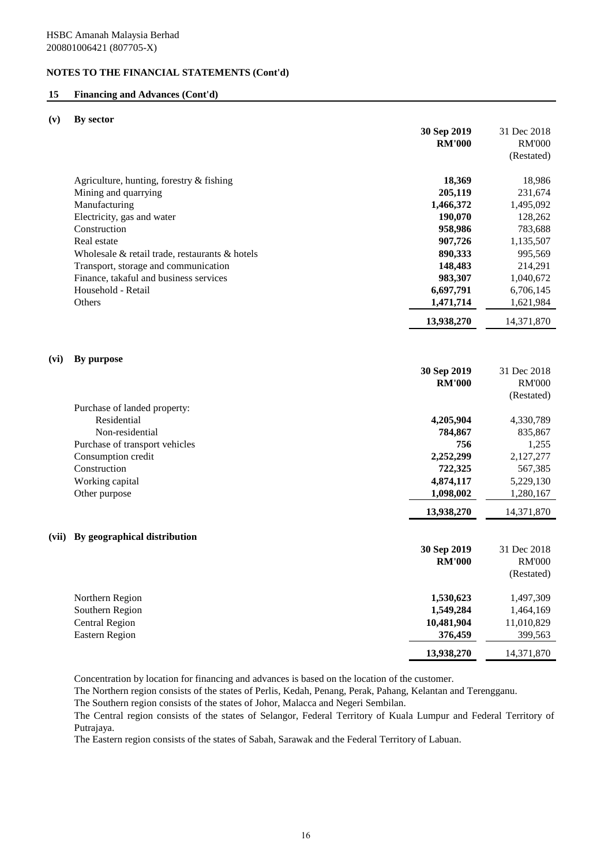#### **15 Financing and Advances (Cont'd)**

#### **(v) By sector**

|       |                                                | 30 Sep 2019<br><b>RM'000</b> | 31 Dec 2018<br><b>RM'000</b><br>(Restated) |
|-------|------------------------------------------------|------------------------------|--------------------------------------------|
|       | Agriculture, hunting, forestry & fishing       | 18,369                       | 18,986                                     |
|       | Mining and quarrying                           | 205,119                      | 231,674                                    |
|       | Manufacturing                                  | 1,466,372                    | 1,495,092                                  |
|       | Electricity, gas and water                     | 190,070                      | 128,262                                    |
|       | Construction                                   | 958,986                      | 783,688                                    |
|       | Real estate                                    | 907,726                      | 1,135,507                                  |
|       | Wholesale & retail trade, restaurants & hotels | 890,333                      | 995,569                                    |
|       | Transport, storage and communication           | 148,483                      | 214,291                                    |
|       | Finance, takaful and business services         | 983,307                      | 1,040,672                                  |
|       | Household - Retail                             | 6,697,791                    | 6,706,145                                  |
|       | Others                                         | 1,471,714                    | 1,621,984                                  |
|       |                                                | 13,938,270                   | 14,371,870                                 |
|       |                                                |                              |                                            |
| (vi)  | By purpose                                     | 30 Sep 2019                  | 31 Dec 2018                                |
|       |                                                | <b>RM'000</b>                | <b>RM'000</b>                              |
|       |                                                |                              | (Restated)                                 |
|       | Purchase of landed property:                   |                              |                                            |
|       | Residential                                    | 4,205,904                    | 4,330,789                                  |
|       | Non-residential                                | 784,867                      | 835,867                                    |
|       | Purchase of transport vehicles                 | 756                          | 1,255                                      |
|       | Consumption credit                             | 2,252,299                    | 2,127,277                                  |
|       | Construction                                   | 722,325                      | 567,385                                    |
|       | Working capital                                | 4,874,117                    | 5,229,130                                  |
|       | Other purpose                                  | 1,098,002                    | 1,280,167                                  |
|       |                                                | 13,938,270                   | 14,371,870                                 |
| (vii) | By geographical distribution                   |                              |                                            |
|       |                                                | 30 Sep 2019                  | 31 Dec 2018                                |
|       |                                                | <b>RM'000</b>                | <b>RM'000</b>                              |
|       |                                                |                              | (Restated)                                 |
|       | Northern Region                                | 1,530,623                    | 1,497,309                                  |
|       | Southern Region                                | 1,549,284                    | 1,464,169                                  |
|       | <b>Central Region</b>                          | 10,481,904                   | 11,010,829                                 |
|       | <b>Eastern Region</b>                          | 376,459                      | 399,563                                    |
|       |                                                | 13,938,270                   | 14,371,870                                 |

Concentration by location for financing and advances is based on the location of the customer.

The Northern region consists of the states of Perlis, Kedah, Penang, Perak, Pahang, Kelantan and Terengganu.

The Southern region consists of the states of Johor, Malacca and Negeri Sembilan.

The Central region consists of the states of Selangor, Federal Territory of Kuala Lumpur and Federal Territory of Putrajaya.

The Eastern region consists of the states of Sabah, Sarawak and the Federal Territory of Labuan.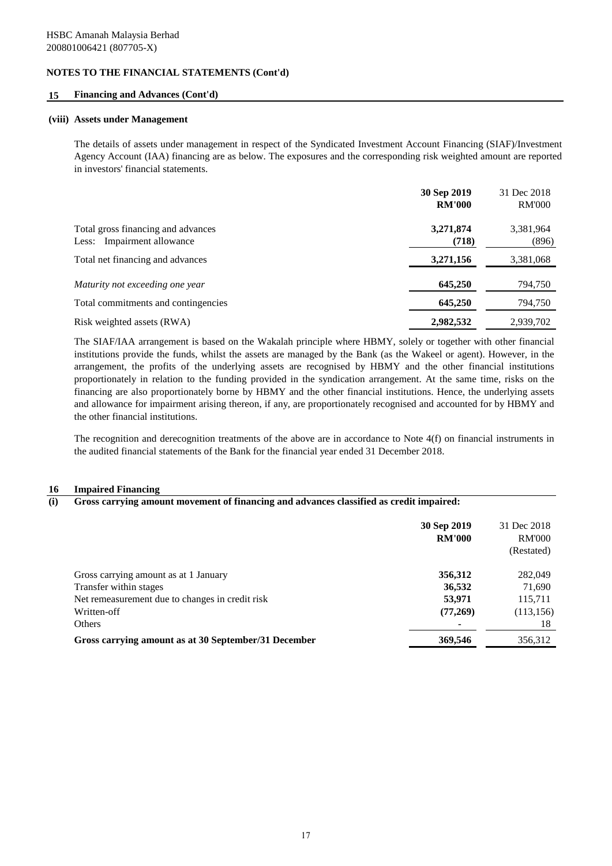#### **15 Financing and Advances (Cont'd)**

#### **(viii) Assets under Management**

The details of assets under management in respect of the Syndicated Investment Account Financing (SIAF)/Investment Agency Account (IAA) financing are as below. The exposures and the corresponding risk weighted amount are reported in investors' financial statements.

|                                                                  | 30 Sep 2019<br><b>RM'000</b> | 31 Dec 2018<br><b>RM'000</b> |
|------------------------------------------------------------------|------------------------------|------------------------------|
| Total gross financing and advances<br>Less: Impairment allowance | 3,271,874<br>(718)           | 3,381,964<br>(896)           |
| Total net financing and advances                                 | 3,271,156                    | 3,381,068                    |
| Maturity not exceeding one year                                  | 645,250                      | 794,750                      |
| Total commitments and contingencies                              | 645,250                      | 794,750                      |
| Risk weighted assets (RWA)                                       | 2,982,532                    | 2,939,702                    |

The SIAF/IAA arrangement is based on the Wakalah principle where HBMY, solely or together with other financial institutions provide the funds, whilst the assets are managed by the Bank (as the Wakeel or agent). However, in the arrangement, the profits of the underlying assets are recognised by HBMY and the other financial institutions proportionately in relation to the funding provided in the syndication arrangement. At the same time, risks on the financing are also proportionately borne by HBMY and the other financial institutions. Hence, the underlying assets and allowance for impairment arising thereon, if any, are proportionately recognised and accounted for by HBMY and the other financial institutions.

The recognition and derecognition treatments of the above are in accordance to Note 4(f) on financial instruments in the audited financial statements of the Bank for the financial year ended 31 December 2018.

#### **16 Impaired Financing**

#### **(i) Gross carrying amount movement of financing and advances classified as credit impaired:**

|                                                      | 30 Sep 2019<br><b>RM'000</b> | 31 Dec 2018<br><b>RM'000</b><br>(Restated) |
|------------------------------------------------------|------------------------------|--------------------------------------------|
| Gross carrying amount as at 1 January                | 356,312                      | 282,049                                    |
| Transfer within stages                               | 36,532                       | 71,690                                     |
| Net remeasurement due to changes in credit risk      | 53,971                       | 115,711                                    |
| Written-off                                          | (77,269)                     | (113, 156)                                 |
| Others                                               |                              | 18                                         |
| Gross carrying amount as at 30 September/31 December | 369,546                      | 356,312                                    |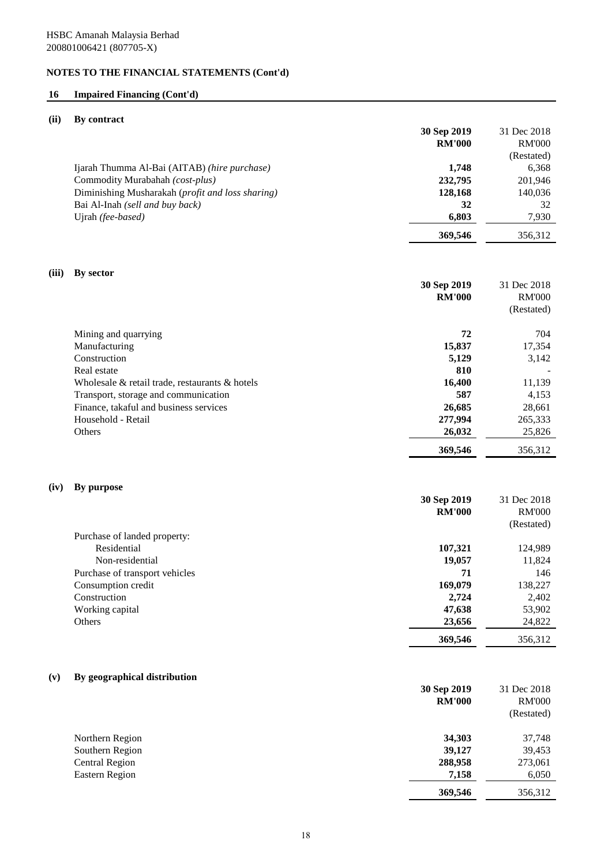# **16 Impaired Financing (Cont'd)**

## **(ii) By contract**

|                                                  | 30 Sep 2019   | 31 Dec 2018   |
|--------------------------------------------------|---------------|---------------|
|                                                  | <b>RM'000</b> | <b>RM'000</b> |
|                                                  |               | (Restated)    |
| Ijarah Thumma Al-Bai (AITAB) (hire purchase)     | 1.748         | 6,368         |
| Commodity Murabahah (cost-plus)                  | 232,795       | 201,946       |
| Diminishing Musharakah (profit and loss sharing) | 128,168       | 140,036       |
| Bai Al-Inah (sell and buy back)                  | 32            | 32            |
| Ujrah (fee-based)                                | 6.803         | 7,930         |
|                                                  | 369,546       | 356.312       |

# **(iii) By sector**

|                                                      | 30 Sep 2019<br><b>RM'000</b> | 31 Dec 2018<br><b>RM'000</b><br>(Restated) |
|------------------------------------------------------|------------------------------|--------------------------------------------|
| Mining and quarrying                                 | 72                           | 704                                        |
| Manufacturing                                        | 15,837                       | 17,354                                     |
| Construction                                         | 5,129                        | 3,142                                      |
| Real estate                                          | 810                          |                                            |
| Wholesale $\&$ retail trade, restaurants $\&$ hotels | 16,400                       | 11,139                                     |
| Transport, storage and communication                 | 587                          | 4,153                                      |
| Finance, takaful and business services               | 26,685                       | 28,661                                     |
| Household - Retail                                   | 277,994                      | 265,333                                    |
| <b>Others</b>                                        | 26,032                       | 25,826                                     |
|                                                      | 369,546                      | 356,312                                    |

## **(iv) By purpose**

|                                | 30 Sep 2019   | 31 Dec 2018   |
|--------------------------------|---------------|---------------|
|                                | <b>RM'000</b> | <b>RM'000</b> |
|                                |               | (Restated)    |
| Purchase of landed property:   |               |               |
| Residential                    | 107,321       | 124,989       |
| Non-residential                | 19,057        | 11,824        |
| Purchase of transport vehicles | 71            | 146           |
| Consumption credit             | 169,079       | 138,227       |
| Construction                   | 2,724         | 2,402         |
| Working capital                | 47,638        | 53,902        |
| Others                         | 23,656        | 24,822        |
|                                | 369,546       | 356.312       |

# **(v) By geographical distribution**

|                 | 30 Sep 2019   | 31 Dec 2018   |
|-----------------|---------------|---------------|
|                 | <b>RM'000</b> | <b>RM'000</b> |
|                 |               | (Restated)    |
| Northern Region | 34,303        | 37,748        |
| Southern Region | 39,127        | 39,453        |
| Central Region  | 288,958       | 273,061       |
| Eastern Region  | 7,158         | 6,050         |
|                 | 369,546       | 356,312       |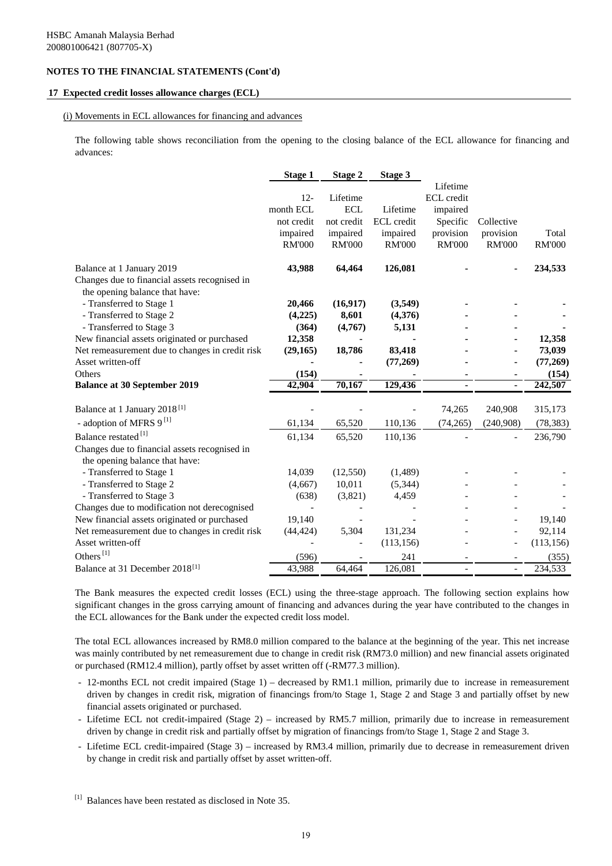#### **17 Expected credit losses allowance charges (ECL)**

#### (i) Movements in ECL allowances for financing and advances

The following table shows reconciliation from the opening to the closing balance of the ECL allowance for financing and advances:

|                                                                                 | <b>Stage 1</b> | <b>Stage 2</b> | Stage 3       |               |                |               |
|---------------------------------------------------------------------------------|----------------|----------------|---------------|---------------|----------------|---------------|
|                                                                                 |                |                |               | Lifetime      |                |               |
|                                                                                 | $12 -$         | Lifetime       |               | ECL credit    |                |               |
|                                                                                 | month ECL      | <b>ECL</b>     | Lifetime      | impaired      |                |               |
|                                                                                 | not credit     | not credit     | ECL credit    | Specific      | Collective     |               |
|                                                                                 | impaired       | impaired       | impaired      | provision     | provision      | Total         |
|                                                                                 | <b>RM'000</b>  | <b>RM'000</b>  | <b>RM'000</b> | <b>RM'000</b> | <b>RM'000</b>  | <b>RM'000</b> |
| Balance at 1 January 2019                                                       | 43,988         | 64,464         | 126,081       |               | ۰              | 234,533       |
| Changes due to financial assets recognised in<br>the opening balance that have: |                |                |               |               |                |               |
| - Transferred to Stage 1                                                        | 20,466         | (16, 917)      | (3,549)       |               |                |               |
| - Transferred to Stage 2                                                        | (4,225)        | 8,601          | (4,376)       |               |                |               |
| - Transferred to Stage 3                                                        | (364)          | (4,767)        | 5,131         |               |                |               |
| New financial assets originated or purchased                                    | 12,358         |                |               |               |                | 12,358        |
| Net remeasurement due to changes in credit risk                                 | (29, 165)      | 18,786         | 83,418        |               |                | 73,039        |
| Asset written-off                                                               |                |                | (77, 269)     |               | ۰              | (77, 269)     |
| Others                                                                          | (154)          |                |               |               | $\blacksquare$ | (154)         |
| <b>Balance at 30 September 2019</b>                                             | 42,904         | 70,167         | 129,436       |               | ÷,             | 242,507       |
| Balance at 1 January 2018 <sup>[1]</sup>                                        |                |                |               | 74,265        | 240,908        | 315,173       |
| - adoption of MFRS 9 <sup>[1]</sup>                                             | 61,134         | 65,520         | 110,136       | (74, 265)     | (240,908)      | (78, 383)     |
| Balance restated <sup>[1]</sup>                                                 | 61,134         | 65,520         | 110,136       |               |                | 236,790       |
| Changes due to financial assets recognised in<br>the opening balance that have: |                |                |               |               |                |               |
| - Transferred to Stage 1                                                        | 14,039         | (12, 550)      | (1,489)       |               |                |               |
| - Transferred to Stage 2                                                        | (4,667)        | 10,011         | (5,344)       |               |                |               |
| - Transferred to Stage 3                                                        | (638)          | (3,821)        | 4,459         |               |                |               |
| Changes due to modification not derecognised                                    |                |                |               |               |                |               |
| New financial assets originated or purchased                                    | 19,140         |                |               |               |                | 19,140        |
| Net remeasurement due to changes in credit risk                                 | (44, 424)      | 5,304          | 131,234       |               |                | 92,114        |
| Asset written-off                                                               |                |                | (113, 156)    |               | $\overline{a}$ | (113, 156)    |
| Others $^{[1]}$                                                                 | (596)          |                | 241           |               |                | (355)         |
| Balance at 31 December 2018 <sup>[1]</sup>                                      | 43,988         | 64,464         | 126,081       |               | $\overline{a}$ | 234,533       |

The Bank measures the expected credit losses (ECL) using the three-stage approach. The following section explains how significant changes in the gross carrying amount of financing and advances during the year have contributed to the changes in the ECL allowances for the Bank under the expected credit loss model.

The total ECL allowances increased by RM8.0 million compared to the balance at the beginning of the year. This net increase was mainly contributed by net remeasurement due to change in credit risk (RM73.0 million) and new financial assets originated or purchased (RM12.4 million), partly offset by asset written off (-RM77.3 million).

- 12-months ECL not credit impaired (Stage 1) decreased by RM1.1 million, primarily due to increase in remeasurement driven by changes in credit risk, migration of financings from/to Stage 1, Stage 2 and Stage 3 and partially offset by new financial assets originated or purchased.
- Lifetime ECL not credit-impaired (Stage 2) increased by RM5.7 million, primarily due to increase in remeasurement driven by change in credit risk and partially offset by migration of financings from/to Stage 1, Stage 2 and Stage 3.
- Lifetime ECL credit-impaired (Stage 3) increased by RM3.4 million, primarily due to decrease in remeasurement driven by change in credit risk and partially offset by asset written-off.

<sup>[1]</sup> Balances have been restated as disclosed in Note 35.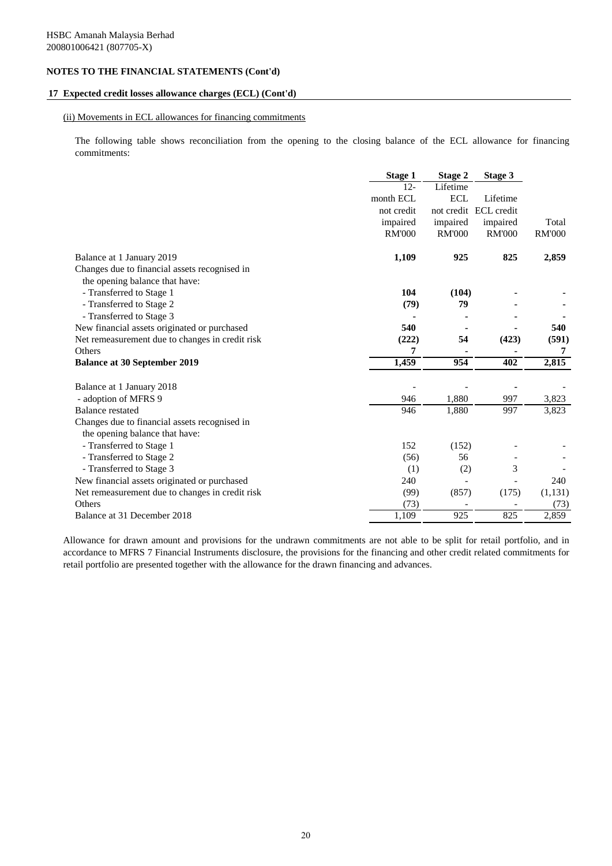#### **17 Expected credit losses allowance charges (ECL) (Cont'd)**

#### (ii) Movements in ECL allowances for financing commitments

The following table shows reconciliation from the opening to the closing balance of the ECL allowance for financing commitments:

|                                                 | Stage 1       | <b>Stage 2</b>           | Stage 3               |               |
|-------------------------------------------------|---------------|--------------------------|-----------------------|---------------|
|                                                 | $12 -$        | Lifetime                 |                       |               |
|                                                 | month ECL     | <b>ECL</b>               | Lifetime              |               |
|                                                 | not credit    |                          | not credit ECL credit |               |
|                                                 | impaired      | impaired                 | impaired              | Total         |
|                                                 | <b>RM'000</b> | <b>RM'000</b>            | <b>RM'000</b>         | <b>RM'000</b> |
| Balance at 1 January 2019                       | 1,109         | 925                      | 825                   | 2,859         |
| Changes due to financial assets recognised in   |               |                          |                       |               |
| the opening balance that have:                  |               |                          |                       |               |
| - Transferred to Stage 1                        | 104           | (104)                    |                       |               |
| - Transferred to Stage 2                        | (79)          | 79                       |                       |               |
| - Transferred to Stage 3                        |               |                          |                       |               |
| New financial assets originated or purchased    | 540           |                          |                       | 540           |
| Net remeasurement due to changes in credit risk | (222)         | 54                       | (423)                 | (591)         |
| <b>Others</b>                                   | 7             |                          |                       | 7             |
| <b>Balance at 30 September 2019</b>             | 1,459         | 954                      | 402                   | 2,815         |
| Balance at 1 January 2018                       |               |                          |                       |               |
| - adoption of MFRS 9                            | 946           | 1,880                    | 997                   | 3,823         |
| <b>Balance</b> restated                         | 946           | 1,880                    | 997                   | 3,823         |
| Changes due to financial assets recognised in   |               |                          |                       |               |
| the opening balance that have:                  |               |                          |                       |               |
| - Transferred to Stage 1                        | 152           | (152)                    |                       |               |
| - Transferred to Stage 2                        | (56)          | 56                       |                       |               |
| - Transferred to Stage 3                        | (1)           | (2)                      | 3                     |               |
| New financial assets originated or purchased    | 240           | $\overline{\phantom{a}}$ |                       | 240           |
| Net remeasurement due to changes in credit risk | (99)          | (857)                    | (175)                 | (1, 131)      |
| <b>Others</b>                                   | (73)          |                          |                       | (73)          |
| Balance at 31 December 2018                     | 1,109         | 925                      | 825                   | 2,859         |

Allowance for drawn amount and provisions for the undrawn commitments are not able to be split for retail portfolio, and in accordance to MFRS 7 Financial Instruments disclosure, the provisions for the financing and other credit related commitments for retail portfolio are presented together with the allowance for the drawn financing and advances.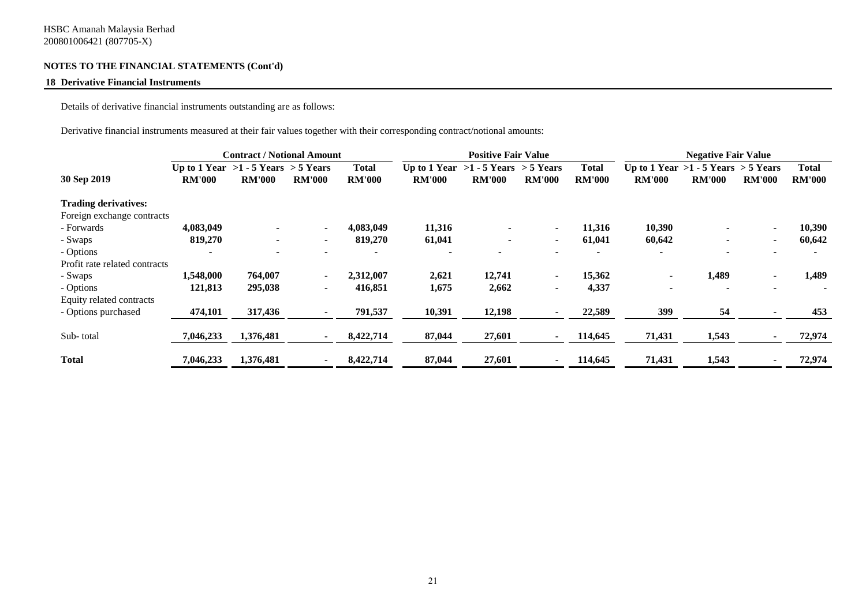### **18 Derivative Financial Instruments**

Details of derivative financial instruments outstanding are as follows:

Derivative financial instruments measured at their fair values together with their corresponding contract/notional amounts:

|                               |                                         | <b>Contract / Notional Amount</b> |               |               |               | <b>Positive Fair Value</b>              |               |               |                                         | <b>Negative Fair Value</b> |               |               |
|-------------------------------|-----------------------------------------|-----------------------------------|---------------|---------------|---------------|-----------------------------------------|---------------|---------------|-----------------------------------------|----------------------------|---------------|---------------|
|                               | Up to 1 Year $>1 - 5$ Years $> 5$ Years |                                   |               | <b>Total</b>  |               | Up to 1 Year $>1 - 5$ Years $> 5$ Years |               | Total         | Up to 1 Year $>1 - 5$ Years $> 5$ Years |                            |               | <b>Total</b>  |
| 30 Sep 2019                   | <b>RM'000</b>                           | <b>RM'000</b>                     | <b>RM'000</b> | <b>RM'000</b> | <b>RM'000</b> | <b>RM'000</b>                           | <b>RM'000</b> | <b>RM'000</b> | <b>RM'000</b>                           | <b>RM'000</b>              | <b>RM'000</b> | <b>RM'000</b> |
| <b>Trading derivatives:</b>   |                                         |                                   |               |               |               |                                         |               |               |                                         |                            |               |               |
| Foreign exchange contracts    |                                         |                                   |               |               |               |                                         |               |               |                                         |                            |               |               |
| - Forwards                    | 4,083,049                               | $\blacksquare$                    |               | 4,083,049     | 11,316        |                                         | ۰             | 11,316        | 10,390                                  |                            |               | 10,390        |
| - Swaps                       | 819,270                                 | $\blacksquare$                    | $\sim$        | 819,270       | 61,041        |                                         | ۰             | 61,041        | 60,642                                  |                            |               | 60,642        |
| - Options                     |                                         |                                   |               |               |               |                                         |               |               |                                         |                            |               |               |
| Profit rate related contracts |                                         |                                   |               |               |               |                                         |               |               |                                         |                            |               |               |
| - Swaps                       | 1,548,000                               | 764,007                           |               | 2,312,007     | 2,621         | 12,741                                  | ۰.            | 15,362        |                                         | 1,489                      |               | 1,489         |
| - Options                     | 121,813                                 | 295,038                           | $\sim$        | 416,851       | 1,675         | 2,662                                   | ۰             | 4,337         |                                         |                            |               |               |
| Equity related contracts      |                                         |                                   |               |               |               |                                         |               |               |                                         |                            |               |               |
| - Options purchased           | 474,101                                 | 317,436                           |               | 791,537       | 10,391        | 12,198                                  | ۰             | 22,589        | 399                                     | 54                         |               | 453           |
| Sub-total                     | 7,046,233                               | 1,376,481                         |               | 8,422,714     | 87,044        | 27,601                                  | $\sim$        | 114,645       | 71,431                                  | 1,543                      |               | 72,974        |
| <b>Total</b>                  | 7,046,233                               | 1,376,481                         |               | 8,422,714     | 87,044        | 27,601                                  |               | 114,645       | 71,431                                  | 1,543                      |               | 72,974        |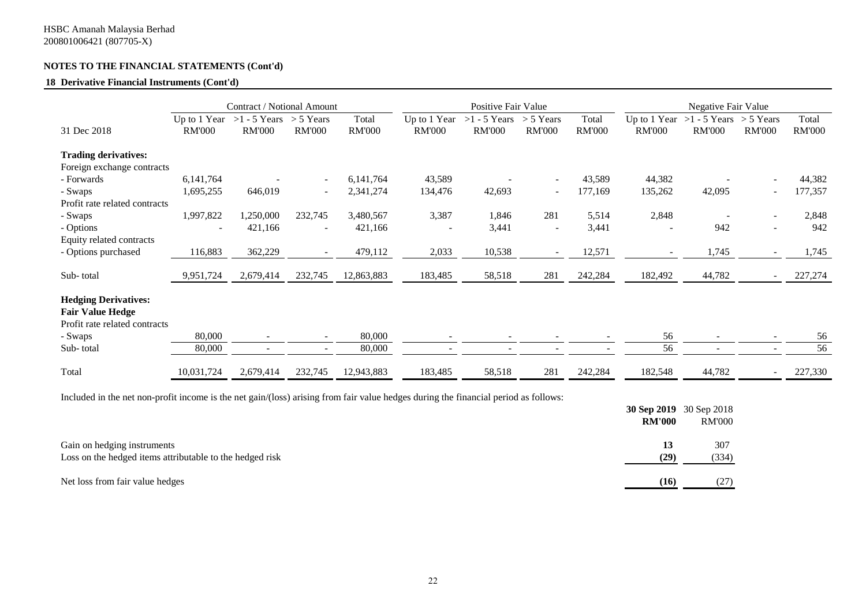#### **18 Derivative Financial Instruments (Cont'd)**

|                                                                                         |               | Contract / Notional Amount                           |               |                        |               | Positive Fair Value                          |                              |                        |                               | Negative Fair Value                         |                          |                        |
|-----------------------------------------------------------------------------------------|---------------|------------------------------------------------------|---------------|------------------------|---------------|----------------------------------------------|------------------------------|------------------------|-------------------------------|---------------------------------------------|--------------------------|------------------------|
| 31 Dec 2018                                                                             | <b>RM'000</b> | Up to 1 Year >1 - 5 Years > 5 Years<br><b>RM'000</b> | <b>RM'000</b> | Total<br><b>RM'000</b> | <b>RM'000</b> | Up to 1 Year $>1 - 5$ Years<br><b>RM'000</b> | $> 5$ Years<br><b>RM'000</b> | Total<br><b>RM'000</b> | Up to 1 Year<br><b>RM'000</b> | $>1 - 5$ Years $> 5$ Years<br><b>RM'000</b> | <b>RM'000</b>            | Total<br><b>RM'000</b> |
| <b>Trading derivatives:</b>                                                             |               |                                                      |               |                        |               |                                              |                              |                        |                               |                                             |                          |                        |
| Foreign exchange contracts                                                              |               |                                                      |               |                        |               |                                              |                              |                        |                               |                                             |                          |                        |
| - Forwards                                                                              | 6,141,764     |                                                      |               | 6,141,764              | 43,589        |                                              | $\overline{\phantom{a}}$     | 43,589                 | 44,382                        |                                             |                          | 44,382                 |
| - Swaps                                                                                 | 1,695,255     | 646,019                                              | $\sim$        | 2,341,274              | 134,476       | 42,693                                       | $\overline{\phantom{a}}$     | 177,169                | 135,262                       | 42,095                                      | $\overline{\phantom{a}}$ | 177,357                |
| Profit rate related contracts                                                           |               |                                                      |               |                        |               |                                              |                              |                        |                               |                                             |                          |                        |
| - Swaps                                                                                 | 1,997,822     | 1,250,000                                            | 232,745       | 3,480,567              | 3,387         | 1,846                                        | 281                          | 5,514                  | 2,848                         |                                             |                          | 2,848                  |
| - Options                                                                               |               | 421,166                                              |               | 421,166                |               | 3,441                                        | $\overline{\phantom{a}}$     | 3,441                  |                               | 942                                         |                          | 942                    |
| Equity related contracts                                                                |               |                                                      |               |                        |               |                                              |                              |                        |                               |                                             |                          |                        |
| - Options purchased                                                                     | 116,883       | 362,229                                              | $\sim$        | 479,112                | 2,033         | 10,538                                       | $\overline{\phantom{a}}$     | 12,571                 |                               | 1,745                                       |                          | 1,745                  |
|                                                                                         |               |                                                      |               |                        |               |                                              |                              |                        |                               |                                             |                          |                        |
| Sub-total                                                                               | 9,951,724     | 2,679,414                                            | 232,745       | 12,863,883             | 183,485       | 58,518                                       | 281                          | 242,284                | 182,492                       | 44,782                                      |                          | 227,274                |
| <b>Hedging Derivatives:</b><br><b>Fair Value Hedge</b><br>Profit rate related contracts |               |                                                      |               |                        |               |                                              |                              |                        |                               |                                             |                          |                        |
| - Swaps                                                                                 | 80,000        | $\overline{\phantom{a}}$                             |               | 80,000                 |               |                                              |                              |                        | 56                            |                                             |                          | 56                     |
| Sub-total                                                                               | 80,000        | $\overline{\phantom{a}}$                             |               | 80,000                 |               |                                              |                              |                        | 56                            |                                             |                          | 56                     |
| Total                                                                                   | 10,031,724    | 2,679,414                                            | 232,745       | 12,943,883             | 183,485       | 58,518                                       | 281                          | 242,284                | 182,548                       | 44,782                                      |                          | 227,330                |

Included in the net non-profit income is the net gain/(loss) arising from fair value hedges during the financial period as follows:

|                                                                                         | <b>RM'000</b> | 30 Sep 2019 30 Sep 2018<br><b>RM'000</b> |
|-----------------------------------------------------------------------------------------|---------------|------------------------------------------|
| Gain on hedging instruments<br>Loss on the hedged items attributable to the hedged risk | 13<br>(29)    | 307<br>(334)                             |
| Net loss from fair value hedges                                                         | (16)          | (27)                                     |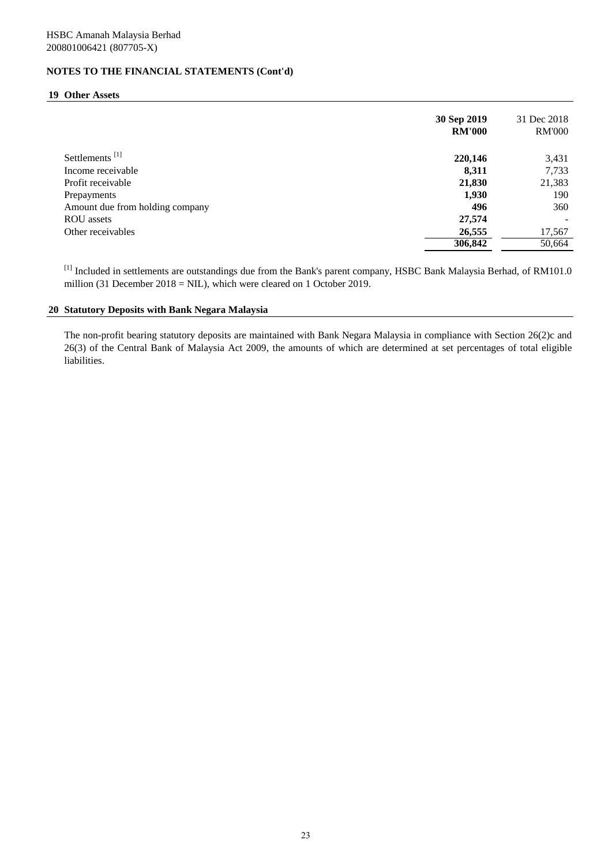#### **19 Other Assets**

|                                 | 30 Sep 2019<br><b>RM'000</b> | 31 Dec 2018<br><b>RM'000</b> |
|---------------------------------|------------------------------|------------------------------|
| Settlements <sup>[1]</sup>      | 220,146                      | 3,431                        |
| Income receivable               | 8,311                        | 7,733                        |
| Profit receivable               | 21,830                       | 21,383                       |
| Prepayments                     | 1,930                        | 190                          |
| Amount due from holding company | 496                          | 360                          |
| <b>ROU</b> assets               | 27,574                       |                              |
| Other receivables               | 26,555                       | 17,567                       |
|                                 | 306,842                      | 50,664                       |

[1] Included in settlements are outstandings due from the Bank's parent company, HSBC Bank Malaysia Berhad, of RM101.0 million (31 December 2018 = NIL), which were cleared on 1 October 2019.

## **20 Statutory Deposits with Bank Negara Malaysia**

The non-profit bearing statutory deposits are maintained with Bank Negara Malaysia in compliance with Section 26(2)c and 26(3) of the Central Bank of Malaysia Act 2009, the amounts of which are determined at set percentages of total eligible liabilities.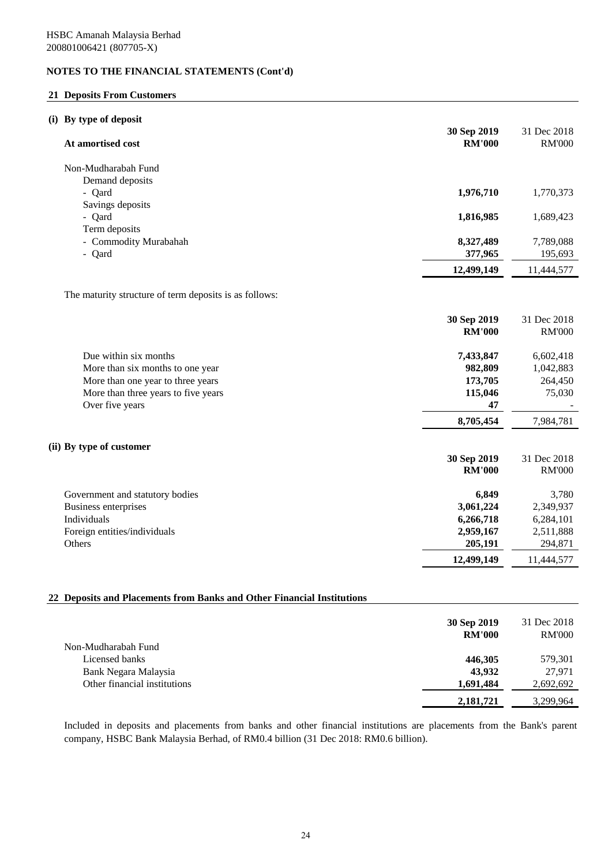## **21 Deposits From Customers**

# **(i) By type of deposit**

| $v_{\rm J}$ pc or uppo<br>At amortised cost                            | 30 Sep 2019<br><b>RM'000</b> | 31 Dec 2018<br><b>RM'000</b> |
|------------------------------------------------------------------------|------------------------------|------------------------------|
| Non-Mudharabah Fund                                                    |                              |                              |
| Demand deposits                                                        |                              |                              |
| - Qard                                                                 | 1,976,710                    | 1,770,373                    |
| Savings deposits                                                       |                              |                              |
| - Qard                                                                 | 1,816,985                    | 1,689,423                    |
| Term deposits                                                          |                              |                              |
| - Commodity Murabahah<br>- Qard                                        | 8,327,489<br>377,965         | 7,789,088<br>195,693         |
|                                                                        |                              |                              |
|                                                                        | 12,499,149                   | 11,444,577                   |
| The maturity structure of term deposits is as follows:                 |                              |                              |
|                                                                        |                              |                              |
|                                                                        | 30 Sep 2019<br><b>RM'000</b> | 31 Dec 2018<br><b>RM'000</b> |
|                                                                        |                              |                              |
| Due within six months                                                  | 7,433,847                    | 6,602,418                    |
| More than six months to one year                                       | 982,809                      | 1,042,883                    |
| More than one year to three years                                      | 173,705                      | 264,450                      |
| More than three years to five years                                    | 115,046                      | 75,030                       |
| Over five years                                                        | 47                           |                              |
|                                                                        | 8,705,454                    | 7,984,781                    |
| (ii) By type of customer                                               |                              |                              |
|                                                                        | 30 Sep 2019                  | 31 Dec 2018                  |
|                                                                        | <b>RM'000</b>                | <b>RM'000</b>                |
| Government and statutory bodies                                        | 6,849                        | 3,780                        |
| Business enterprises                                                   | 3,061,224                    | 2,349,937                    |
| Individuals                                                            | 6,266,718                    | 6,284,101                    |
| Foreign entities/individuals                                           | 2,959,167                    | 2,511,888                    |
| Others                                                                 | 205,191                      | 294,871                      |
|                                                                        | 12,499,149                   | 11,444,577                   |
| 22 Deposits and Placements from Banks and Other Financial Institutions |                              |                              |
|                                                                        | 30 Sep 2019                  | 31 Dec 2018                  |
|                                                                        |                              |                              |

|                              | <b>RM'000</b> | <b>RM'000</b> |
|------------------------------|---------------|---------------|
| Non-Mudharabah Fund          |               |               |
| Licensed banks               | 446,305       | 579,301       |
| Bank Negara Malaysia         | 43.932        | 27.971        |
| Other financial institutions | 1,691,484     | 2,692,692     |
|                              | 2,181,721     | 3,299,964     |

Included in deposits and placements from banks and other financial institutions are placements from the Bank's parent company, HSBC Bank Malaysia Berhad, of RM0.4 billion (31 Dec 2018: RM0.6 billion).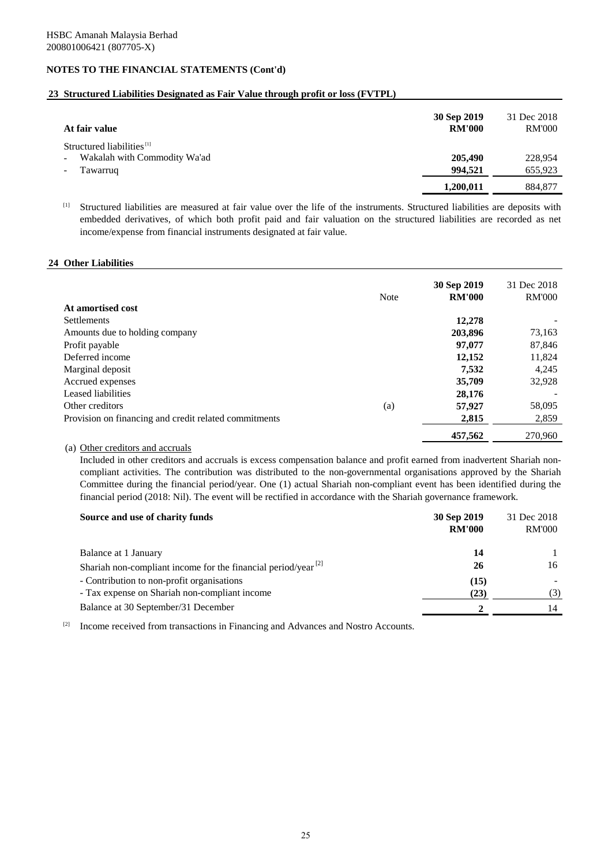# **23 Structured Liabilities Designated as Fair Value through profit or loss (FVTPL)**

| At fair value                                                                     | 30 Sep 2019<br><b>RM'000</b> | 31 Dec 2018<br><b>RM'000</b> |
|-----------------------------------------------------------------------------------|------------------------------|------------------------------|
| Structured liabilities <sup>[1]</sup><br>Wakalah with Commodity Wa'ad<br>Tawarruq | 205,490<br>994.521           | 228,954<br>655,923           |
|                                                                                   | 1,200,011                    | 884,877                      |

[1] Structured liabilities are measured at fair value over the life of the instruments. Structured liabilities are deposits with embedded derivatives, of which both profit paid and fair valuation on the structured liabilities are recorded as net income/expense from financial instruments designated at fair value.

#### **24 Other Liabilities**

| At amortised cost                                     | <b>Note</b> | 30 Sep 2019<br><b>RM'000</b> | 31 Dec 2018<br><b>RM'000</b> |
|-------------------------------------------------------|-------------|------------------------------|------------------------------|
| <b>Settlements</b>                                    |             | 12,278                       |                              |
| Amounts due to holding company                        |             | 203,896                      | 73,163                       |
| Profit payable                                        |             | 97,077                       | 87,846                       |
| Deferred income                                       |             | 12,152                       | 11,824                       |
| Marginal deposit                                      |             | 7,532                        | 4,245                        |
| Accrued expenses                                      |             | 35,709                       | 32,928                       |
| Leased liabilities                                    |             | 28,176                       |                              |
| Other creditors                                       | (a)         | 57,927                       | 58,095                       |
| Provision on financing and credit related commitments |             | 2,815                        | 2,859                        |
|                                                       |             | 457,562                      | 270,960                      |

## (a) Other creditors and accruals

Included in other creditors and accruals is excess compensation balance and profit earned from inadvertent Shariah noncompliant activities. The contribution was distributed to the non-governmental organisations approved by the Shariah Committee during the financial period/year. One (1) actual Shariah non-compliant event has been identified during the financial period (2018: Nil). The event will be rectified in accordance with the Shariah governance framework.

| Source and use of charity funds                                     | 30 Sep 2019<br><b>RM'000</b> | 31 Dec 2018<br><b>RM'000</b> |
|---------------------------------------------------------------------|------------------------------|------------------------------|
| Balance at 1 January                                                | 14                           |                              |
| Shariah non-compliant income for the financial period/year $^{[2]}$ | 26                           | 16                           |
| - Contribution to non-profit organisations                          | (15)                         |                              |
| - Tax expense on Shariah non-compliant income                       | (23)                         | (3)                          |
| Balance at 30 September/31 December                                 |                              | 14                           |
|                                                                     |                              |                              |

[2] Income received from transactions in Financing and Advances and Nostro Accounts.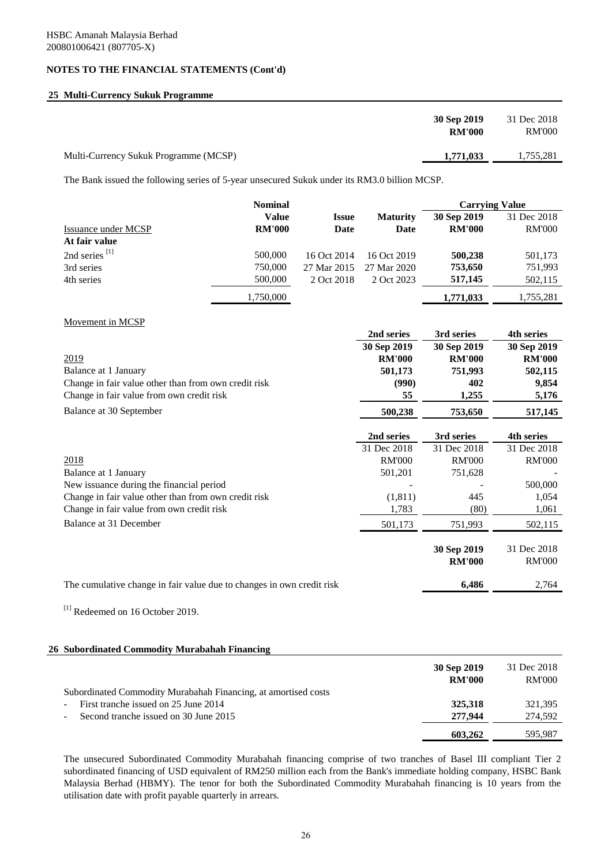# **25 Multi-Currency Sukuk Programme**

|                                       | 30 Sep 2019<br><b>RM'000</b> | 31 Dec 2018<br>RM'000 |
|---------------------------------------|------------------------------|-----------------------|
| Multi-Currency Sukuk Programme (MCSP) | 1,771,033                    | 1.755.281             |

The Bank issued the following series of 5-year unsecured Sukuk under its RM3.0 billion MCSP.

|                                                                       | <b>Nominal</b> |              |                 | <b>Carrying Value</b> |                   |
|-----------------------------------------------------------------------|----------------|--------------|-----------------|-----------------------|-------------------|
|                                                                       | <b>Value</b>   | <b>Issue</b> | <b>Maturity</b> | 30 Sep 2019           | 31 Dec 2018       |
| Issuance under MCSP                                                   | <b>RM'000</b>  | <b>Date</b>  | Date            | <b>RM'000</b>         | <b>RM'000</b>     |
| At fair value                                                         |                |              |                 |                       |                   |
| 2nd series <sup>[1]</sup>                                             | 500,000        | 16 Oct 2014  | 16 Oct 2019     | 500,238               | 501,173           |
| 3rd series                                                            | 750,000        | 27 Mar 2015  | 27 Mar 2020     | 753,650               | 751,993           |
| 4th series                                                            | 500,000        | 2 Oct 2018   | 2 Oct 2023      | 517,145               | 502,115           |
|                                                                       | 1,750,000      |              |                 | 1,771,033             | 1,755,281         |
| Movement in MCSP                                                      |                |              |                 |                       |                   |
|                                                                       |                |              | 2nd series      | 3rd series            | <b>4th series</b> |
|                                                                       |                |              | 30 Sep 2019     | 30 Sep 2019           | 30 Sep 2019       |
| 2019                                                                  |                |              | <b>RM'000</b>   | <b>RM'000</b>         | <b>RM'000</b>     |
| Balance at 1 January                                                  |                |              | 501,173         | 751,993               | 502,115           |
| Change in fair value other than from own credit risk                  |                |              | (990)           | 402                   | 9,854             |
| Change in fair value from own credit risk                             |                |              | 55              | 1,255                 | 5,176             |
| Balance at 30 September                                               |                |              | 500,238         | 753,650               | 517,145           |
|                                                                       |                |              | 2nd series      | 3rd series            | 4th series        |
|                                                                       |                |              | 31 Dec 2018     | 31 Dec 2018           | 31 Dec 2018       |
| 2018                                                                  |                |              | <b>RM'000</b>   | <b>RM'000</b>         | <b>RM'000</b>     |
| Balance at 1 January                                                  |                |              | 501,201         | 751,628               |                   |
| New issuance during the financial period                              |                |              |                 |                       | 500,000           |
| Change in fair value other than from own credit risk                  |                |              | (1, 811)        | 445                   | 1,054             |
| Change in fair value from own credit risk                             |                |              | 1,783           | (80)                  | 1,061             |
| <b>Balance at 31 December</b>                                         |                |              | 501,173         | 751,993               | 502,115           |
|                                                                       |                |              |                 | 30 Sep 2019           | 31 Dec 2018       |
|                                                                       |                |              |                 | <b>RM'000</b>         | <b>RM'000</b>     |
| The cumulative change in fair value due to changes in own credit risk |                |              |                 | 6,486                 | 2,764             |
|                                                                       |                |              |                 |                       |                   |

<sup>[1]</sup> Redeemed on 16 October 2019.

#### **26 Subordinated Commodity Murabahah Financing**

|                                                                | 30 Sep 2019<br><b>RM'000</b> | 31 Dec 2018<br>RM'000 |
|----------------------------------------------------------------|------------------------------|-----------------------|
| Subordinated Commodity Murabahah Financing, at amortised costs |                              |                       |
| First tranche issued on 25 June 2014<br>۰                      | 325,318                      | 321,395               |
| Second tranche issued on 30 June 2015                          | 277,944                      | 274,592               |
|                                                                | 603.262                      | 595.987               |

The unsecured Subordinated Commodity Murabahah financing comprise of two tranches of Basel III compliant Tier 2 subordinated financing of USD equivalent of RM250 million each from the Bank's immediate holding company, HSBC Bank Malaysia Berhad (HBMY). The tenor for both the Subordinated Commodity Murabahah financing is 10 years from the utilisation date with profit payable quarterly in arrears.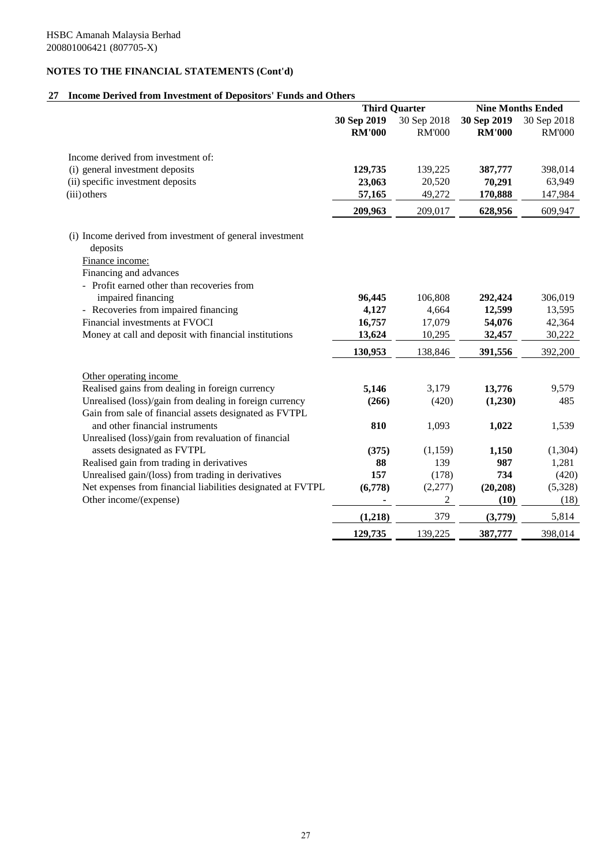# **27 Income Derived from Investment of Depositors' Funds and Others**

|                                                             | <b>Third Quarter</b> |                | <b>Nine Months Ended</b> |               |
|-------------------------------------------------------------|----------------------|----------------|--------------------------|---------------|
|                                                             | 30 Sep 2019          | 30 Sep 2018    | 30 Sep 2019              | 30 Sep 2018   |
|                                                             | <b>RM'000</b>        | <b>RM'000</b>  | <b>RM'000</b>            | <b>RM'000</b> |
| Income derived from investment of:                          |                      |                |                          |               |
| (i) general investment deposits                             | 129,735              | 139,225        | 387,777                  | 398,014       |
| (ii) specific investment deposits                           | 23,063               | 20,520         | 70,291                   | 63,949        |
| (iii) others                                                | 57,165               | 49,272         | 170,888                  | 147,984       |
|                                                             | 209,963              | 209,017        | 628,956                  | 609,947       |
| (i) Income derived from investment of general investment    |                      |                |                          |               |
| deposits                                                    |                      |                |                          |               |
| Finance income:                                             |                      |                |                          |               |
| Financing and advances                                      |                      |                |                          |               |
| - Profit earned other than recoveries from                  |                      |                |                          |               |
| impaired financing                                          | 96,445               | 106,808        | 292,424                  | 306,019       |
| - Recoveries from impaired financing                        | 4,127                | 4,664          | 12,599                   | 13,595        |
| Financial investments at FVOCI                              | 16,757               | 17,079         | 54,076                   | 42,364        |
| Money at call and deposit with financial institutions       | 13,624               | 10,295         | 32,457                   | 30,222        |
|                                                             | 130,953              | 138,846        | 391,556                  | 392,200       |
| Other operating income                                      |                      |                |                          |               |
| Realised gains from dealing in foreign currency             | 5,146                | 3.179          | 13,776                   | 9,579         |
| Unrealised (loss)/gain from dealing in foreign currency     | (266)                | (420)          | (1,230)                  | 485           |
| Gain from sale of financial assets designated as FVTPL      |                      |                |                          |               |
| and other financial instruments                             | 810                  | 1,093          | 1,022                    | 1,539         |
| Unrealised (loss)/gain from revaluation of financial        |                      |                |                          |               |
| assets designated as FVTPL                                  | (375)                | (1, 159)       | 1,150                    | (1,304)       |
| Realised gain from trading in derivatives                   | 88                   | 139            | 987                      | 1,281         |
| Unrealised gain/(loss) from trading in derivatives          | 157                  | (178)          | 734                      | (420)         |
| Net expenses from financial liabilities designated at FVTPL | (6,778)              | (2,277)        | (20, 208)                | (5,328)       |
| Other income/(expense)                                      |                      | $\overline{c}$ | (10)                     | (18)          |
|                                                             | (1,218)              | 379            | (3,779)                  | 5,814         |
|                                                             | 129,735              | 139,225        | 387,777                  | 398,014       |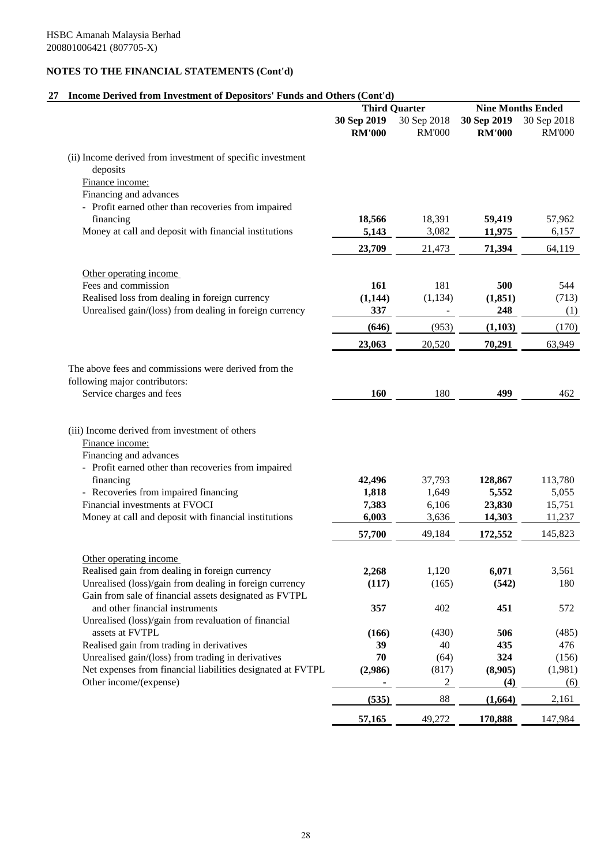# **27 Income Derived from Investment of Depositors' Funds and Others (Cont'd)**

|                                                                                                                   | <b>Third Quarter</b> |               | <b>Nine Months Ended</b> |                  |
|-------------------------------------------------------------------------------------------------------------------|----------------------|---------------|--------------------------|------------------|
|                                                                                                                   | 30 Sep 2019          | 30 Sep 2018   | 30 Sep 2019              | 30 Sep 2018      |
|                                                                                                                   | <b>RM'000</b>        | <b>RM'000</b> | <b>RM'000</b>            | <b>RM'000</b>    |
| (ii) Income derived from investment of specific investment                                                        |                      |               |                          |                  |
| deposits                                                                                                          |                      |               |                          |                  |
| Finance income:                                                                                                   |                      |               |                          |                  |
| Financing and advances                                                                                            |                      |               |                          |                  |
| - Profit earned other than recoveries from impaired                                                               |                      |               |                          |                  |
| financing                                                                                                         | 18,566               | 18,391        | 59,419                   | 57,962           |
| Money at call and deposit with financial institutions                                                             | 5,143                | 3,082         | 11,975                   | 6,157            |
|                                                                                                                   | 23,709               | 21,473        | 71,394                   | 64,119           |
| Other operating income                                                                                            |                      |               |                          |                  |
| Fees and commission                                                                                               | 161                  | 181           | 500                      | 544              |
| Realised loss from dealing in foreign currency                                                                    | (1,144)              | (1, 134)      | (1, 851)                 | (713)            |
| Unrealised gain/(loss) from dealing in foreign currency                                                           | 337                  |               | 248                      | (1)              |
|                                                                                                                   | (646)                | (953)         | (1, 103)                 | (170)            |
|                                                                                                                   | 23,063               | 20,520        | 70,291                   | 63,949           |
|                                                                                                                   |                      |               |                          |                  |
| The above fees and commissions were derived from the                                                              |                      |               |                          |                  |
| following major contributors:<br>Service charges and fees                                                         | <b>160</b>           | 180           | 499                      | 462              |
|                                                                                                                   |                      |               |                          |                  |
|                                                                                                                   |                      |               |                          |                  |
| (iii) Income derived from investment of others                                                                    |                      |               |                          |                  |
| Finance income:<br>Financing and advances                                                                         |                      |               |                          |                  |
| - Profit earned other than recoveries from impaired                                                               |                      |               |                          |                  |
| financing                                                                                                         | 42,496               | 37,793        | 128,867                  | 113,780          |
| - Recoveries from impaired financing                                                                              | 1,818                | 1,649         | 5,552                    | 5,055            |
| Financial investments at FVOCI                                                                                    | 7,383                | 6,106         | 23,830                   | 15,751           |
| Money at call and deposit with financial institutions                                                             | 6,003                | 3,636         | 14,303                   | 11,237           |
|                                                                                                                   | 57,700               | 49,184        | 172,552                  | 145,823          |
|                                                                                                                   |                      |               |                          |                  |
| Other operating income<br>Realised gain from dealing in foreign currency                                          | 2,268                | 1,120         | 6,071                    | 3,561            |
| Unrealised (loss)/gain from dealing in foreign currency                                                           | (117)                | (165)         | (542)                    | 180              |
| Gain from sale of financial assets designated as FVTPL                                                            |                      |               |                          |                  |
| and other financial instruments                                                                                   | 357                  | 402           | 451                      | 572              |
| Unrealised (loss)/gain from revaluation of financial                                                              |                      |               |                          |                  |
| assets at FVTPL                                                                                                   | (166)                | (430)         | 506                      | (485)            |
| Realised gain from trading in derivatives                                                                         | 39<br>70             | 40<br>(64)    | 435<br>324               | 476              |
| Unrealised gain/(loss) from trading in derivatives<br>Net expenses from financial liabilities designated at FVTPL |                      | (817)         | (8,905)                  | (156)<br>(1,981) |
| Other income/(expense)                                                                                            | (2,986)              | 2             | (4)                      | (6)              |
|                                                                                                                   | (535)                | 88            | (1,664)                  | 2,161            |
|                                                                                                                   |                      |               |                          |                  |
|                                                                                                                   | 57,165               | 49,272        | 170,888                  | 147,984          |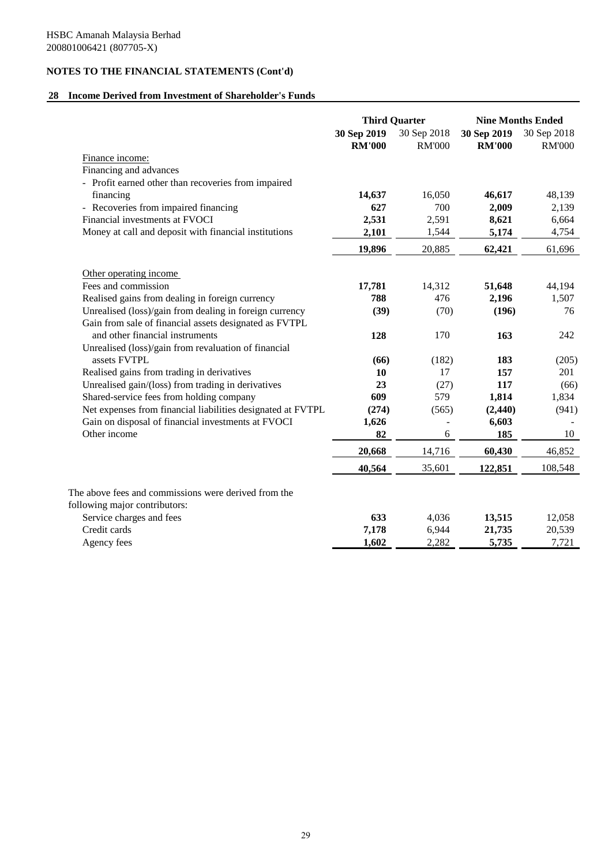## **28 Income Derived from Investment of Shareholder's Funds**

|                                                             | <b>Third Quarter</b>         |                              | <b>Nine Months Ended</b>     |                              |
|-------------------------------------------------------------|------------------------------|------------------------------|------------------------------|------------------------------|
|                                                             | 30 Sep 2019<br><b>RM'000</b> | 30 Sep 2018<br><b>RM'000</b> | 30 Sep 2019<br><b>RM'000</b> | 30 Sep 2018<br><b>RM'000</b> |
| Finance income:                                             |                              |                              |                              |                              |
| Financing and advances                                      |                              |                              |                              |                              |
| - Profit earned other than recoveries from impaired         |                              |                              |                              |                              |
| financing                                                   | 14,637                       | 16,050                       | 46,617                       | 48,139                       |
| - Recoveries from impaired financing                        | 627                          | 700                          | 2,009                        | 2,139                        |
| Financial investments at FVOCI                              | 2,531                        | 2,591                        | 8,621                        | 6,664                        |
| Money at call and deposit with financial institutions       | 2,101                        | 1,544                        | 5,174                        | 4,754                        |
|                                                             | 19,896                       | 20,885                       | 62,421                       | 61,696                       |
| Other operating income                                      |                              |                              |                              |                              |
| Fees and commission                                         | 17,781                       | 14,312                       | 51,648                       | 44,194                       |
| Realised gains from dealing in foreign currency             | 788                          | 476                          | 2,196                        | 1,507                        |
| Unrealised (loss)/gain from dealing in foreign currency     | (39)                         | (70)                         | (196)                        | 76                           |
| Gain from sale of financial assets designated as FVTPL      |                              |                              |                              |                              |
| and other financial instruments                             | 128                          | 170                          | 163                          | 242                          |
| Unrealised (loss)/gain from revaluation of financial        |                              |                              |                              |                              |
| assets FVTPL                                                | (66)                         | (182)                        | 183                          | (205)                        |
| Realised gains from trading in derivatives                  | 10                           | 17                           | 157                          | 201                          |
| Unrealised gain/(loss) from trading in derivatives          | 23                           | (27)                         | 117                          | (66)                         |
| Shared-service fees from holding company                    | 609                          | 579                          | 1,814                        | 1,834                        |
| Net expenses from financial liabilities designated at FVTPL | (274)                        | (565)                        | (2, 440)                     | (941)                        |
| Gain on disposal of financial investments at FVOCI          | 1,626                        |                              | 6,603                        |                              |
| Other income                                                | 82                           | 6                            | 185                          | 10                           |
|                                                             | 20,668                       | 14,716                       | 60,430                       | 46,852                       |
|                                                             | 40,564                       | 35,601                       | 122,851                      | 108,548                      |
| The above fees and commissions were derived from the        |                              |                              |                              |                              |
| following major contributors:                               |                              |                              |                              |                              |
| Service charges and fees                                    | 633                          | 4,036                        | 13,515                       | 12,058                       |
| Credit cards                                                | 7,178                        | 6,944                        | 21,735                       | 20,539                       |
| Agency fees                                                 | 1,602                        | 2,282                        | 5,735                        | 7,721                        |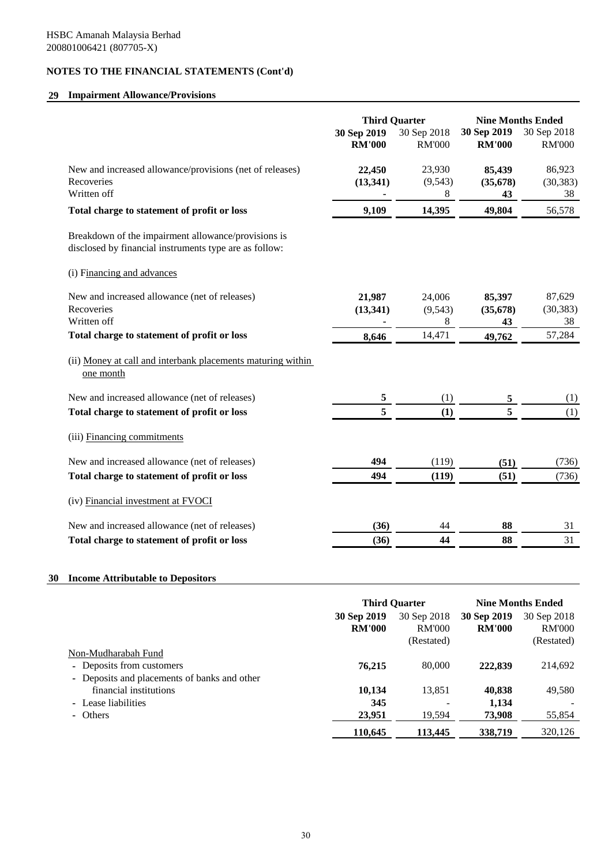# **29 Impairment Allowance/Provisions**

|                                                                                                               | <b>Third Quarter</b>         |                              | <b>Nine Months Ended</b>     |                              |
|---------------------------------------------------------------------------------------------------------------|------------------------------|------------------------------|------------------------------|------------------------------|
|                                                                                                               | 30 Sep 2019<br><b>RM'000</b> | 30 Sep 2018<br><b>RM'000</b> | 30 Sep 2019<br><b>RM'000</b> | 30 Sep 2018<br><b>RM'000</b> |
| New and increased allowance/provisions (net of releases)                                                      | 22,450                       | 23,930                       | 85,439                       | 86,923                       |
| Recoveries                                                                                                    | (13, 341)                    | (9, 543)                     | (35, 678)                    | (30, 383)                    |
| Written off                                                                                                   |                              | 8                            | 43                           | 38                           |
| Total charge to statement of profit or loss                                                                   | 9,109                        | 14,395                       | 49,804                       | 56,578                       |
| Breakdown of the impairment allowance/provisions is<br>disclosed by financial instruments type are as follow: |                              |                              |                              |                              |
| (i) Financing and advances                                                                                    |                              |                              |                              |                              |
| New and increased allowance (net of releases)                                                                 | 21,987                       | 24,006                       | 85,397                       | 87,629                       |
| Recoveries                                                                                                    | (13, 341)                    | (9, 543)                     | (35, 678)                    | (30, 383)                    |
| Written off                                                                                                   |                              | 8                            | 43                           | 38                           |
| Total charge to statement of profit or loss                                                                   | 8,646                        | 14,471                       | 49,762                       | 57,284                       |
| (ii) Money at call and interbank placements maturing within<br>one month                                      |                              |                              |                              |                              |
| New and increased allowance (net of releases)                                                                 | 5                            | (1)                          | 5                            | (1)                          |
| Total charge to statement of profit or loss                                                                   | 5                            | (1)                          | 5                            | (1)                          |
| (iii) Financing commitments                                                                                   |                              |                              |                              |                              |
| New and increased allowance (net of releases)                                                                 | 494                          | (119)                        | (51)                         | (736)                        |
| Total charge to statement of profit or loss                                                                   | 494                          | (119)                        | (51)                         | (736)                        |
| (iv) Financial investment at FVOCI                                                                            |                              |                              |                              |                              |
| New and increased allowance (net of releases)                                                                 | (36)                         | 44                           | 88                           | 31                           |
| Total charge to statement of profit or loss                                                                   | (36)                         | 44                           | 88                           | 31                           |
|                                                                                                               |                              |                              |                              |                              |

# **30 Income Attributable to Depositors**

|                                                                                                  |                              | <b>Third Quarter</b>                       |                              | <b>Nine Months Ended</b>                   |
|--------------------------------------------------------------------------------------------------|------------------------------|--------------------------------------------|------------------------------|--------------------------------------------|
|                                                                                                  | 30 Sep 2019<br><b>RM'000</b> | 30 Sep 2018<br><b>RM'000</b><br>(Restated) | 30 Sep 2019<br><b>RM'000</b> | 30 Sep 2018<br><b>RM'000</b><br>(Restated) |
| Non-Mudharabah Fund<br>- Deposits from customers<br>- Deposits and placements of banks and other | 76.215                       | 80,000                                     | 222,839                      | 214,692                                    |
| financial institutions<br>- Lease liabilities<br>- Others                                        | 10.134<br>345<br>23,951      | 13,851<br>19,594                           | 40,838<br>1,134<br>73,908    | 49,580<br>55,854                           |
|                                                                                                  | 110,645                      | 113,445                                    | 338,719                      | 320,126                                    |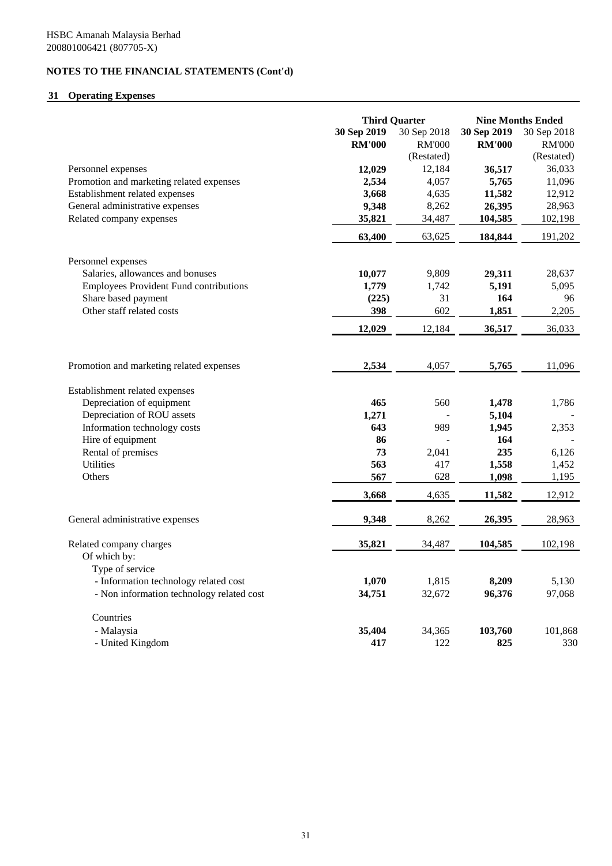# **31 Operating Expenses**

|                                               | <b>Third Quarter</b> |               | <b>Nine Months Ended</b> |               |
|-----------------------------------------------|----------------------|---------------|--------------------------|---------------|
|                                               | 30 Sep 2019          | 30 Sep 2018   | 30 Sep 2019              | 30 Sep 2018   |
|                                               | <b>RM'000</b>        | <b>RM'000</b> | <b>RM'000</b>            | <b>RM'000</b> |
|                                               |                      | (Restated)    |                          | (Restated)    |
| Personnel expenses                            | 12,029               | 12,184        | 36,517                   | 36,033        |
| Promotion and marketing related expenses      | 2,534                | 4,057         | 5,765                    | 11,096        |
| Establishment related expenses                | 3,668                | 4,635         | 11,582                   | 12,912        |
| General administrative expenses               | 9,348                | 8,262         | 26,395                   | 28,963        |
| Related company expenses                      | 35,821               | 34,487        | 104,585                  | 102,198       |
|                                               | 63,400               | 63,625        | 184,844                  | 191,202       |
| Personnel expenses                            |                      |               |                          |               |
| Salaries, allowances and bonuses              | 10,077               | 9,809         | 29,311                   | 28,637        |
| <b>Employees Provident Fund contributions</b> | 1,779                | 1,742         | 5,191                    | 5,095         |
| Share based payment                           | (225)                | 31            | 164                      | 96            |
| Other staff related costs                     | 398                  | 602           | 1,851                    | 2,205         |
|                                               | 12,029               | 12,184        | 36,517                   | 36,033        |
|                                               |                      |               |                          |               |
| Promotion and marketing related expenses      | 2,534                | 4,057         | 5,765                    | 11,096        |
| Establishment related expenses                |                      |               |                          |               |
| Depreciation of equipment                     | 465                  | 560           | 1,478                    | 1,786         |
| Depreciation of ROU assets                    | 1,271                |               | 5,104                    |               |
| Information technology costs                  | 643                  | 989           | 1,945                    | 2,353         |
| Hire of equipment                             | 86                   |               | 164                      |               |
| Rental of premises                            | 73                   | 2,041         | 235                      | 6,126         |
| <b>Utilities</b>                              | 563                  | 417           | 1,558                    | 1,452         |
| Others                                        | 567                  | 628           | 1,098                    | 1,195         |
|                                               | 3,668                | 4,635         | 11,582                   | 12,912        |
| General administrative expenses               | 9,348                | 8,262         | 26,395                   | 28,963        |
|                                               |                      | 34,487        |                          | 102,198       |
| Related company charges<br>Of which by:       | 35,821               |               | 104,585                  |               |
| Type of service                               |                      |               |                          |               |
| - Information technology related cost         | 1,070                | 1,815         | 8,209                    | 5,130         |
| - Non information technology related cost     | 34,751               | 32,672        | 96,376                   | 97,068        |
|                                               |                      |               |                          |               |
| Countries                                     |                      |               |                          |               |
| - Malaysia                                    | 35,404               | 34,365        | 103,760                  | 101,868       |
| - United Kingdom                              | 417                  | 122           | 825                      | 330           |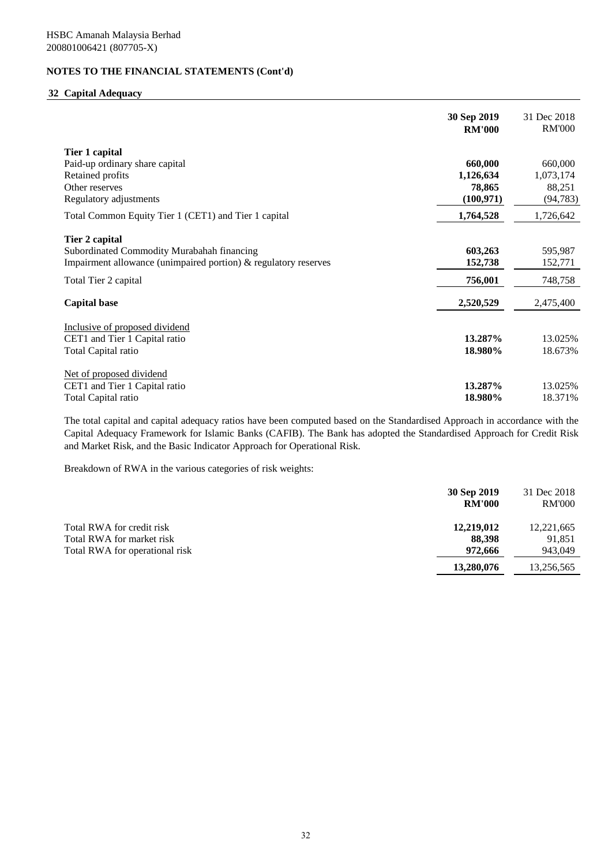# **32 Capital Adequacy**

|                                                                 | 30 Sep 2019<br><b>RM'000</b> | 31 Dec 2018<br><b>RM'000</b> |
|-----------------------------------------------------------------|------------------------------|------------------------------|
| Tier 1 capital                                                  |                              |                              |
| Paid-up ordinary share capital                                  | 660,000                      | 660,000                      |
| Retained profits                                                | 1,126,634                    | 1,073,174                    |
| Other reserves                                                  | 78,865                       | 88,251                       |
| Regulatory adjustments                                          | (100, 971)                   | (94, 783)                    |
| Total Common Equity Tier 1 (CET1) and Tier 1 capital            | 1,764,528                    | 1,726,642                    |
| Tier 2 capital                                                  |                              |                              |
| Subordinated Commodity Murabahah financing                      | 603,263                      | 595,987                      |
| Impairment allowance (unimpaired portion) & regulatory reserves | 152,738                      | 152,771                      |
| Total Tier 2 capital                                            | 756,001                      | 748,758                      |
| <b>Capital base</b>                                             | 2,520,529                    | 2,475,400                    |
| Inclusive of proposed dividend                                  |                              |                              |
| CET1 and Tier 1 Capital ratio                                   | 13.287%                      | 13.025%                      |
| Total Capital ratio                                             | 18.980%                      | 18.673%                      |
| Net of proposed dividend                                        |                              |                              |
| CET1 and Tier 1 Capital ratio                                   | 13.287%                      | 13.025%                      |
| Total Capital ratio                                             | 18.980%                      | 18.371%                      |

The total capital and capital adequacy ratios have been computed based on the Standardised Approach in accordance with the Capital Adequacy Framework for Islamic Banks (CAFIB). The Bank has adopted the Standardised Approach for Credit Risk and Market Risk, and the Basic Indicator Approach for Operational Risk.

Breakdown of RWA in the various categories of risk weights:

|                                                        | 30 Sep 2019<br><b>RM'000</b> | 31 Dec 2018<br><b>RM'000</b> |
|--------------------------------------------------------|------------------------------|------------------------------|
| Total RWA for credit risk<br>Total RWA for market risk | 12,219,012<br>88.398         | 12,221,665<br>91,851         |
| Total RWA for operational risk                         | 972,666                      | 943,049                      |
|                                                        | 13,280,076                   | 13,256,565                   |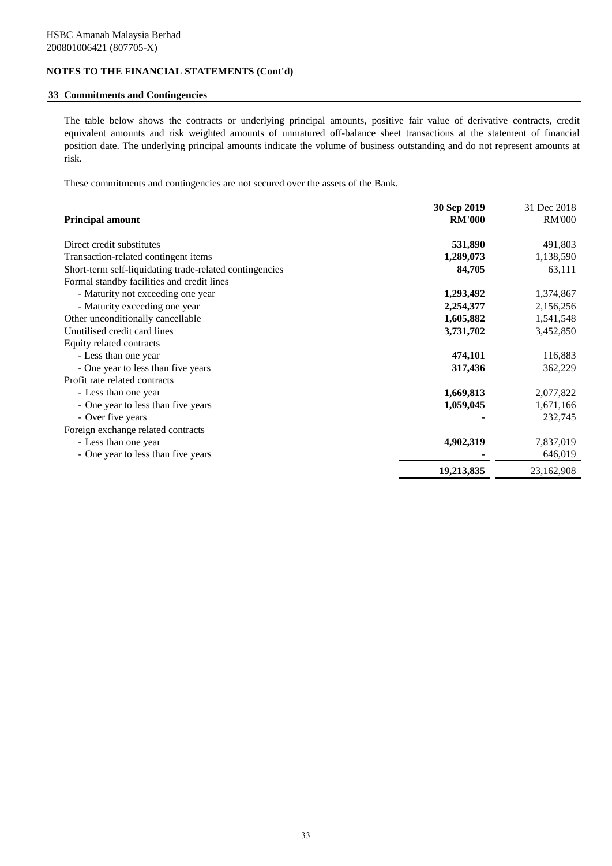## **33 Commitments and Contingencies**

The table below shows the contracts or underlying principal amounts, positive fair value of derivative contracts, credit equivalent amounts and risk weighted amounts of unmatured off-balance sheet transactions at the statement of financial position date. The underlying principal amounts indicate the volume of business outstanding and do not represent amounts at risk.

These commitments and contingencies are not secured over the assets of the Bank.

|                                                         | 30 Sep 2019   | 31 Dec 2018   |
|---------------------------------------------------------|---------------|---------------|
| <b>Principal amount</b>                                 | <b>RM'000</b> | <b>RM'000</b> |
| Direct credit substitutes                               | 531,890       | 491,803       |
| Transaction-related contingent items                    | 1,289,073     | 1,138,590     |
| Short-term self-liquidating trade-related contingencies | 84,705        | 63,111        |
| Formal standby facilities and credit lines              |               |               |
| - Maturity not exceeding one year                       | 1,293,492     | 1,374,867     |
| - Maturity exceeding one year                           | 2,254,377     | 2,156,256     |
| Other unconditionally cancellable                       | 1,605,882     | 1,541,548     |
| Unutilised credit card lines                            | 3,731,702     | 3,452,850     |
| Equity related contracts                                |               |               |
| - Less than one year                                    | 474,101       | 116,883       |
| - One year to less than five years                      | 317,436       | 362,229       |
| Profit rate related contracts                           |               |               |
| - Less than one year                                    | 1,669,813     | 2,077,822     |
| - One year to less than five years                      | 1,059,045     | 1,671,166     |
| - Over five years                                       |               | 232,745       |
| Foreign exchange related contracts                      |               |               |
| - Less than one year                                    | 4,902,319     | 7,837,019     |
| - One year to less than five years                      |               | 646,019       |
|                                                         | 19,213,835    | 23,162,908    |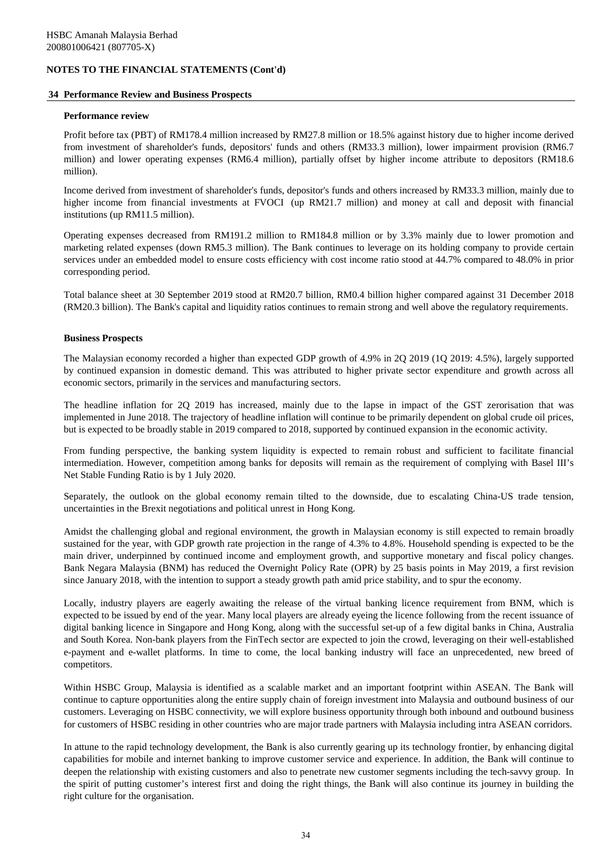#### **34 Performance Review and Business Prospects**

#### **Performance review**

Profit before tax (PBT) of RM178.4 million increased by RM27.8 million or 18.5% against history due to higher income derived from investment of shareholder's funds, depositors' funds and others (RM33.3 million), lower impairment provision (RM6.7 million) and lower operating expenses (RM6.4 million), partially offset by higher income attribute to depositors (RM18.6 million).

Income derived from investment of shareholder's funds, depositor's funds and others increased by RM33.3 million, mainly due to higher income from financial investments at FVOCI (up RM21.7 million) and money at call and deposit with financial institutions (up RM11.5 million).

Operating expenses decreased from RM191.2 million to RM184.8 million or by 3.3% mainly due to lower promotion and marketing related expenses (down RM5.3 million). The Bank continues to leverage on its holding company to provide certain services under an embedded model to ensure costs efficiency with cost income ratio stood at 44.7% compared to 48.0% in prior corresponding period.

Total balance sheet at 30 September 2019 stood at RM20.7 billion, RM0.4 billion higher compared against 31 December 2018 (RM20.3 billion). The Bank's capital and liquidity ratios continues to remain strong and well above the regulatory requirements.

#### **Business Prospects**

The Malaysian economy recorded a higher than expected GDP growth of 4.9% in 2Q 2019 (1Q 2019: 4.5%), largely supported by continued expansion in domestic demand. This was attributed to higher private sector expenditure and growth across all economic sectors, primarily in the services and manufacturing sectors.

The headline inflation for 2Q 2019 has increased, mainly due to the lapse in impact of the GST zerorisation that was implemented in June 2018. The trajectory of headline inflation will continue to be primarily dependent on global crude oil prices, but is expected to be broadly stable in 2019 compared to 2018, supported by continued expansion in the economic activity.

From funding perspective, the banking system liquidity is expected to remain robust and sufficient to facilitate financial intermediation. However, competition among banks for deposits will remain as the requirement of complying with Basel III's Net Stable Funding Ratio is by 1 July 2020.

Separately, the outlook on the global economy remain tilted to the downside, due to escalating China-US trade tension, uncertainties in the Brexit negotiations and political unrest in Hong Kong.

Amidst the challenging global and regional environment, the growth in Malaysian economy is still expected to remain broadly sustained for the year, with GDP growth rate projection in the range of 4.3% to 4.8%. Household spending is expected to be the main driver, underpinned by continued income and employment growth, and supportive monetary and fiscal policy changes. Bank Negara Malaysia (BNM) has reduced the Overnight Policy Rate (OPR) by 25 basis points in May 2019, a first revision since January 2018, with the intention to support a steady growth path amid price stability, and to spur the economy.

Locally, industry players are eagerly awaiting the release of the virtual banking licence requirement from BNM, which is expected to be issued by end of the year. Many local players are already eyeing the licence following from the recent issuance of digital banking licence in Singapore and Hong Kong, along with the successful set-up of a few digital banks in China, Australia and South Korea. Non-bank players from the FinTech sector are expected to join the crowd, leveraging on their well-established e-payment and e-wallet platforms. In time to come, the local banking industry will face an unprecedented, new breed of competitors.

Within HSBC Group, Malaysia is identified as a scalable market and an important footprint within ASEAN. The Bank will continue to capture opportunities along the entire supply chain of foreign investment into Malaysia and outbound business of our customers. Leveraging on HSBC connectivity, we will explore business opportunity through both inbound and outbound business for customers of HSBC residing in other countries who are major trade partners with Malaysia including intra ASEAN corridors.

In attune to the rapid technology development, the Bank is also currently gearing up its technology frontier, by enhancing digital capabilities for mobile and internet banking to improve customer service and experience. In addition, the Bank will continue to deepen the relationship with existing customers and also to penetrate new customer segments including the tech-savvy group. In the spirit of putting customer's interest first and doing the right things, the Bank will also continue its journey in building the right culture for the organisation.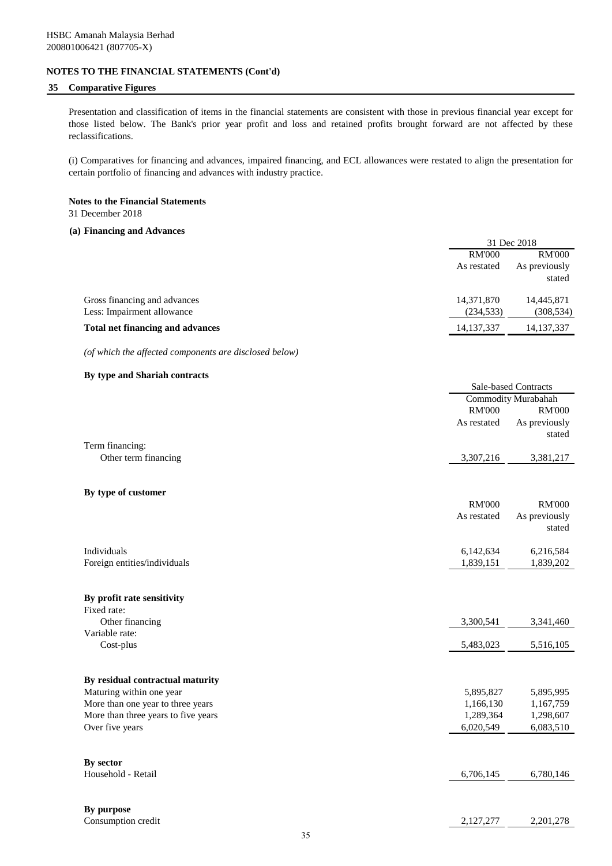## **35 Comparative Figures**

Presentation and classification of items in the financial statements are consistent with those in previous financial year except for those listed below. The Bank's prior year profit and loss and retained profits brought forward are not affected by these reclassifications.

(i) Comparatives for financing and advances, impaired financing, and ECL allowances were restated to align the presentation for certain portfolio of financing and advances with industry practice.

# **Notes to the Financial Statements**

31 December 2018

#### **(a) Financing and Advances**

|                                  | 31 Dec 2018   |                                |  |
|----------------------------------|---------------|--------------------------------|--|
|                                  | <b>RM'000</b> | <b>RM'000</b><br>As previously |  |
|                                  | As restated   |                                |  |
|                                  |               | stated                         |  |
| Gross financing and advances     | 14,371,870    | 14,445,871                     |  |
| Less: Impairment allowance       | (234, 533)    | (308, 534)                     |  |
| Total net financing and advances | 14, 137, 337  | 14, 137, 337                   |  |
|                                  |               |                                |  |

*(of which the affected components are disclosed below)*

#### **By type and Shariah contracts**

|                                     |               | Sale-based Contracts |
|-------------------------------------|---------------|----------------------|
|                                     |               | Commodity Murabahah  |
|                                     | <b>RM'000</b> | <b>RM'000</b>        |
|                                     | As restated   | As previously        |
|                                     |               | stated               |
| Term financing:                     |               |                      |
| Other term financing                | 3,307,216     | 3,381,217            |
|                                     |               |                      |
|                                     |               |                      |
| By type of customer                 |               |                      |
|                                     | <b>RM'000</b> | <b>RM'000</b>        |
|                                     | As restated   | As previously        |
|                                     |               | stated               |
| Individuals                         | 6,142,634     | 6,216,584            |
| Foreign entities/individuals        | 1,839,151     | 1,839,202            |
|                                     |               |                      |
|                                     |               |                      |
| By profit rate sensitivity          |               |                      |
| Fixed rate:                         |               |                      |
| Other financing                     | 3,300,541     | 3,341,460            |
| Variable rate:                      |               |                      |
| Cost-plus                           | 5,483,023     | 5,516,105            |
|                                     |               |                      |
| By residual contractual maturity    |               |                      |
| Maturing within one year            | 5,895,827     | 5,895,995            |
| More than one year to three years   | 1,166,130     | 1,167,759            |
| More than three years to five years | 1,289,364     | 1,298,607            |
| Over five years                     | 6,020,549     | 6,083,510            |
|                                     |               |                      |
|                                     |               |                      |
| By sector                           |               |                      |
| Household - Retail                  | 6,706,145     | 6,780,146            |
|                                     |               |                      |
| By purpose                          |               |                      |
| Consumption credit                  | 2,127,277     | 2,201,278            |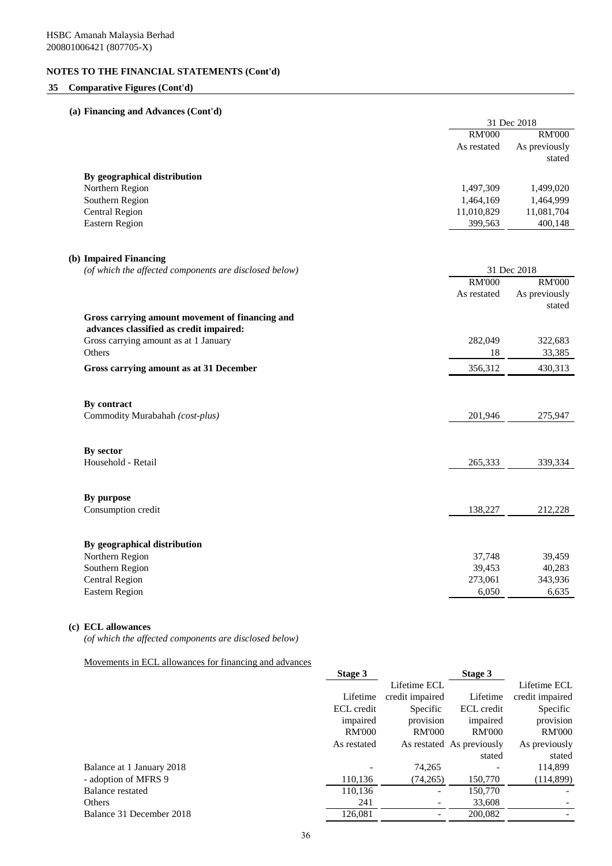## **35 Comparative Figures (Cont'd)**

## **(a) Financing and Advances (Cont'd)**

|                                                        | 31 Dec 2018   |               |  |
|--------------------------------------------------------|---------------|---------------|--|
|                                                        | <b>RM'000</b> | <b>RM'000</b> |  |
|                                                        | As restated   | As previously |  |
|                                                        |               | stated        |  |
| By geographical distribution                           |               |               |  |
| Northern Region                                        | 1,497,309     | 1,499,020     |  |
| Southern Region                                        | 1,464,169     | 1,464,999     |  |
| <b>Central Region</b>                                  | 11,010,829    | 11,081,704    |  |
| <b>Eastern Region</b>                                  | 399,563       | 400,148       |  |
|                                                        |               |               |  |
| (b) Impaired Financing                                 |               |               |  |
| (of which the affected components are disclosed below) |               | 31 Dec 2018   |  |
|                                                        | <b>RM'000</b> | <b>RM'000</b> |  |
|                                                        | As restated   | As previously |  |
|                                                        |               | stated        |  |
| Gross carrying amount movement of financing and        |               |               |  |
| advances classified as credit impaired:                |               |               |  |
| Gross carrying amount as at 1 January                  | 282,049       | 322,683       |  |
| Others                                                 | 18            | 33,385        |  |
| Gross carrying amount as at 31 December                | 356,312       | 430,313       |  |
| By contract                                            |               |               |  |
| Commodity Murabahah (cost-plus)                        | 201,946       | 275,947       |  |
|                                                        |               |               |  |
| By sector                                              |               |               |  |
| Household - Retail                                     | 265,333       | 339,334       |  |
| By purpose                                             |               |               |  |
| Consumption credit                                     | 138,227       | 212,228       |  |
|                                                        |               |               |  |
| By geographical distribution                           |               |               |  |
| Northern Region                                        | 37,748        | 39,459        |  |
| Southern Region                                        | 39,453        | 40,283        |  |
| <b>Central Region</b>                                  | 273,061       | 343,936       |  |
| <b>Eastern Region</b>                                  | 6,050         | 6,635         |  |

# **(c) ECL allowances**

*(of which the affected components are disclosed below)*

Movements in ECL allowances for financing and advances

|                           | Stage 3       |                 | Stage 3                   |                 |
|---------------------------|---------------|-----------------|---------------------------|-----------------|
|                           |               | Lifetime ECL    |                           | Lifetime ECL    |
|                           | Lifetime      | credit impaired | Lifetime                  | credit impaired |
|                           | ECL credit    | Specific        | ECL credit                | Specific        |
|                           | impaired      | provision       | impaired                  | provision       |
|                           | <b>RM'000</b> | <b>RM'000</b>   | <b>RM'000</b>             | <b>RM'000</b>   |
|                           | As restated   |                 | As restated As previously | As previously   |
|                           |               |                 | stated                    | stated          |
| Balance at 1 January 2018 |               | 74,265          |                           | 114,899         |
| - adoption of MFRS 9      | 110,136       | (74, 265)       | 150,770                   | (114,899)       |
| Balance restated          | 110,136       |                 | 150,770                   |                 |
| <b>Others</b>             | 241           |                 | 33,608                    |                 |
| Balance 31 December 2018  | 126,081       |                 | 200,082                   |                 |
|                           |               |                 |                           |                 |